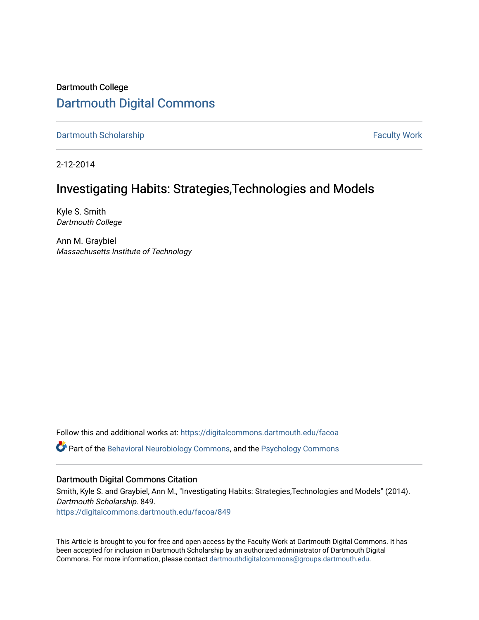# Dartmouth College [Dartmouth Digital Commons](https://digitalcommons.dartmouth.edu/)

[Dartmouth Scholarship](https://digitalcommons.dartmouth.edu/facoa) Faculty Work

2-12-2014

# Investigating Habits: Strategies,Technologies and Models

Kyle S. Smith Dartmouth College

Ann M. Graybiel Massachusetts Institute of Technology

Follow this and additional works at: [https://digitalcommons.dartmouth.edu/facoa](https://digitalcommons.dartmouth.edu/facoa?utm_source=digitalcommons.dartmouth.edu%2Ffacoa%2F849&utm_medium=PDF&utm_campaign=PDFCoverPages) Part of the [Behavioral Neurobiology Commons,](http://network.bepress.com/hgg/discipline/56?utm_source=digitalcommons.dartmouth.edu%2Ffacoa%2F849&utm_medium=PDF&utm_campaign=PDFCoverPages) and the [Psychology Commons](http://network.bepress.com/hgg/discipline/404?utm_source=digitalcommons.dartmouth.edu%2Ffacoa%2F849&utm_medium=PDF&utm_campaign=PDFCoverPages) 

# Dartmouth Digital Commons Citation

Smith, Kyle S. and Graybiel, Ann M., "Investigating Habits: Strategies,Technologies and Models" (2014). Dartmouth Scholarship. 849. [https://digitalcommons.dartmouth.edu/facoa/849](https://digitalcommons.dartmouth.edu/facoa/849?utm_source=digitalcommons.dartmouth.edu%2Ffacoa%2F849&utm_medium=PDF&utm_campaign=PDFCoverPages)

This Article is brought to you for free and open access by the Faculty Work at Dartmouth Digital Commons. It has been accepted for inclusion in Dartmouth Scholarship by an authorized administrator of Dartmouth Digital Commons. For more information, please contact [dartmouthdigitalcommons@groups.dartmouth.edu](mailto:dartmouthdigitalcommons@groups.dartmouth.edu).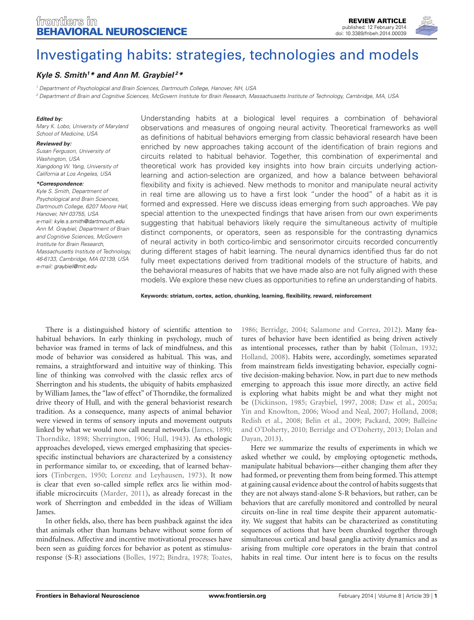

# [Investigating habits: strategies, technologies and models](http://www.frontiersin.org/Journal/10.3389/fnbeh.2014.00039/abstract)

# **[Kyle S. Smith](http://www.frontiersin.org/people/u/104092)<sup>1</sup>\* and [Ann M. Graybiel](http://www.frontiersin.org/people/u/1595) <sup>2</sup>\***

<sup>1</sup> Department of Psychological and Brain Sciences, Dartmouth College, Hanover, NH, USA

<sup>2</sup> Department of Brain and Cognitive Sciences, McGovern Institute for Brain Research, Massachusetts Institute of Technology, Cambridge, MA, USA

#### **Edited by:**

Mary K. Lobo, University of Maryland School of Medicine, USA

#### **Reviewed by:**

Susan Ferguson, University of Washington, USA Xiangdong W. Yang, University of California at Los Angeles, USA

#### **\*Correspondence:**

Kyle S. Smith, Department of Psychological and Brain Sciences, Dartmouth College, 6207 Moore Hall, Hanover, NH 03755, USA e-mail: [kyle.s.smith@dartmouth.edu](mailto:kyle.s.smith@dartmouth.edu) Ann M. Graybiel, Department of Brain and Cognitive Sciences, McGovern Institute for Brain Research, Massachusetts Institute of Technology, 46-6133, Cambridge, MA 02139, USA e-mail: [graybiel@mit.edu](mailto:graybiel@mit.edu)

Understanding habits at a biological level requires a combination of behavioral observations and measures of ongoing neural activity. Theoretical frameworks as well as definitions of habitual behaviors emerging from classic behavioral research have been enriched by new approaches taking account of the identification of brain regions and circuits related to habitual behavior. Together, this combination of experimental and theoretical work has provided key insights into how brain circuits underlying actionlearning and action-selection are organized, and how a balance between behavioral flexibility and fixity is achieved. New methods to monitor and manipulate neural activity in real time are allowing us to have a first look "under the hood" of a habit as it is formed and expressed. Here we discuss ideas emerging from such approaches. We pay special attention to the unexpected findings that have arisen from our own experiments suggesting that habitual behaviors likely require the simultaneous activity of multiple distinct components, or operators, seen as responsible for the contrasting dynamics of neural activity in both cortico-limbic and sensorimotor circuits recorded concurrently during different stages of habit learning. The neural dynamics identified thus far do not fully meet expectations derived from traditional models of the structure of habits, and the behavioral measures of habits that we have made also are not fully aligned with these models. We explore these new clues as opportunities to refine an understanding of habits.

**Keywords: striatum, cortex, action, chunking, learning, flexibility, reward, reinforcement**

There is a distinguished history of scientific attention to habitual behaviors. In early thinking in psychology, much of behavior was framed in terms of lack of mindfulness, and this mode of behavior was considered as habitual. This was, and remains, a straightforward and intuitive way of thinking. This line of thinking was convolved with the classic reflex arcs of Sherrington and his students, the ubiquity of habits emphasized by William James, the "law of effect" of Thorndike, the formalized drive theory of Hull, and with the general behaviorist research tradition. As a consequence, many aspects of animal behavior were viewed in terms of sensory inputs and movement outputs linked by what we would now call neural networks [\(James, 1890;](#page-15-0) [Thorndike, 1898;](#page-17-0) [Sherrington, 1906;](#page-16-0) [Hull, 1943\)](#page-15-1). As ethologic approaches developed, views emerged emphasizing that speciesspecific instinctual behaviors are characterized by a consistency in performance similar to, or exceeding, that of learned behaviors [\(Tinbergen, 1950;](#page-17-1) [Lorenz and Leyhausen, 1973\)](#page-15-2). It now is clear that even so-called simple reflex arcs lie within modifiable microcircuits [\(Marder, 2011\)](#page-16-1), as already forecast in the work of Sherrington and embedded in the ideas of William James.

In other fields, also, there has been pushback against the idea that animals other than humans behave without some form of mindfulness. Affective and incentive motivational processes have been seen as guiding forces for behavior as potent as stimulusresponse (S-R) associations [\(Bolles, 1972;](#page-14-0) [Bindra, 1978;](#page-14-1) [Toates,](#page-17-2)

[1986;](#page-17-2) [Berridge, 2004;](#page-14-2) [Salamone and Correa, 2012\)](#page-16-2). Many features of behavior have been identified as being driven actively as intentional processes, rather than by habit [\(Tolman, 1932;](#page-17-3) [Holland, 2008\)](#page-15-3). Habits were, accordingly, sometimes separated from mainstream fields investigating behavior, especially cognitive decision-making behavior. Now, in part due to new methods emerging to approach this issue more directly, an active field is exploring what habits might be and what they might not be [\(Dickinson, 1985;](#page-14-3) [Graybiel, 1997,](#page-15-4) [2008;](#page-15-5) [Daw et al., 2005a;](#page-14-4) [Yin and Knowlton, 2006;](#page-17-4) [Wood and Neal, 2007;](#page-17-5) [Holland, 2008;](#page-15-3) [Redish et al., 2008;](#page-16-3) [Belin et al., 2009;](#page-14-5) [Packard, 2009;](#page-16-4) [Balleine](#page-14-6) [and O'Doherty, 2010;](#page-14-6) [Berridge and O'Doherty, 2013;](#page-14-7) [Dolan and](#page-14-8) [Dayan, 2013\)](#page-14-8).

Here we summarize the results of experiments in which we asked whether we could, by employing optogenetic methods, manipulate habitual behaviors—either changing them after they had formed, or preventing them from being formed. This attempt at gaining causal evidence about the control of habits suggests that they are not always stand-alone S-R behaviors, but rather, can be behaviors that are carefully monitored and controlled by neural circuits on-line in real time despite their apparent automaticity. We suggest that habits can be characterized as constituting sequences of actions that have been chunked together through simultaneous cortical and basal ganglia activity dynamics and as arising from multiple core operators in the brain that control habits in real time. Our intent here is to focus on the results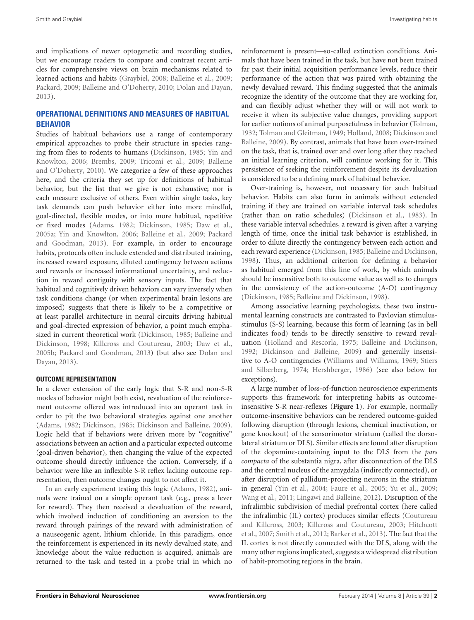and implications of newer optogenetic and recording studies, but we encourage readers to compare and contrast recent articles for comprehensive views on brain mechanisms related to learned actions and habits [\(Graybiel,](#page-15-5) [2008;](#page-15-5) [Balleine et al.,](#page-14-9) [2009;](#page-14-9) [Packard,](#page-16-4) [2009;](#page-16-4) [Balleine and O'Doherty,](#page-14-6) [2010;](#page-14-6) [Dolan and Dayan,](#page-14-8) [2013\)](#page-14-8).

# **OPERATIONAL DEFINITIONS AND MEASURES OF HABITUAL BEHAVIOR**

Studies of habitual behaviors use a range of contemporary empirical approaches to probe their structure in species ranging from flies to rodents to humans [\(Dickinson,](#page-14-3) [1985;](#page-14-3) [Yin and](#page-17-4) [Knowlton,](#page-17-4) [2006;](#page-17-4) [Brembs,](#page-14-10) [2009;](#page-14-10) [Tricomi et al.,](#page-17-6) [2009;](#page-17-6) [Balleine](#page-14-6) [and O'Doherty,](#page-14-6) [2010\)](#page-14-6). We categorize a few of these approaches here, and the criteria they set up for definitions of habitual behavior, but the list that we give is not exhaustive; nor is each measure exclusive of others. Even within single tasks, key task demands can push behavior either into more mindful, goal-directed, flexible modes, or into more habitual, repetitive or fixed modes [\(Adams,](#page-13-0) [1982;](#page-13-0) [Dickinson,](#page-14-3) [1985;](#page-14-3) [Daw et al.,](#page-14-4) [2005a;](#page-14-4) [Yin and Knowlton,](#page-17-4) [2006;](#page-17-4) [Balleine et al.,](#page-14-9) [2009;](#page-14-9) [Packard](#page-16-5) [and Goodman,](#page-16-5) [2013\)](#page-16-5). For example, in order to encourage habits, protocols often include extended and distributed training, increased reward exposure, diluted contingency between actions and rewards or increased informational uncertainty, and reduction in reward contiguity with sensory inputs. The fact that habitual and cognitively driven behaviors can vary inversely when task conditions change (or when experimental brain lesions are imposed) suggests that there is likely to be a competitive or at least parallel architecture in neural circuits driving habitual and goal-directed expression of behavior, a point much emphasized in current theoretical work [\(Dickinson,](#page-14-3) [1985;](#page-14-3) [Balleine and](#page-14-11) [Dickinson,](#page-14-11) [1998;](#page-14-11) [Killcross and Coutureau,](#page-15-6) [2003;](#page-15-6) [Daw et al.,](#page-14-12) [2005b;](#page-14-12) [Packard and Goodman,](#page-16-5) [2013\)](#page-16-5) (but also see [Dolan and](#page-14-8) [Dayan,](#page-14-8) [2013\)](#page-14-8).

### **OUTCOME REPRESENTATION**

In a clever extension of the early logic that S-R and non-S-R modes of behavior might both exist, revaluation of the reinforcement outcome offered was introduced into an operant task in order to pit the two behavioral strategies against one another [\(Adams,](#page-13-0) [1982;](#page-13-0) [Dickinson,](#page-14-3) [1985;](#page-14-3) [Dickinson and Balleine,](#page-14-13) [2009\)](#page-14-13). Logic held that if behaviors were driven more by "cognitive" associations between an action and a particular expected outcome (goal-driven behavior), then changing the value of the expected outcome should directly influence the action. Conversely, if a behavior were like an inflexible S-R reflex lacking outcome representation, then outcome changes ought to not affect it.

In an early experiment testing this logic [\(Adams,](#page-13-0) [1982\)](#page-13-0), animals were trained on a simple operant task (e.g., press a lever for reward). They then received a devaluation of the reward, which involved induction of conditioning an aversion to the reward through pairings of the reward with administration of a nauseogenic agent, lithium chloride. In this paradigm, once the reinforcement is experienced in its newly devalued state, and knowledge about the value reduction is acquired, animals are returned to the task and tested in a probe trial in which no

reinforcement is present—so-called extinction conditions. Animals that have been trained in the task, but have not been trained far past their initial acquisition performance levels, reduce their performance of the action that was paired with obtaining the newly devalued reward. This finding suggested that the animals recognize the identity of the outcome that they are working for, and can flexibly adjust whether they will or will not work to receive it when its subjective value changes, providing support for earlier notions of animal purposefulness in behavior [\(Tolman,](#page-17-3) [1932;](#page-17-3) [Tolman and Gleitman,](#page-17-7) [1949;](#page-17-7) [Holland,](#page-15-3) [2008;](#page-15-3) [Dickinson and](#page-14-13) [Balleine,](#page-14-13) [2009\)](#page-14-13). By contrast, animals that have been over-trained on the task, that is, trained over and over long after they reached an initial learning criterion, will continue working for it. This persistence of seeking the reinforcement despite its devaluation is considered to be a defining mark of habitual behavior.

Over-training is, however, not necessary for such habitual behavior. Habits can also form in animals without extended training if they are trained on variable interval task schedules (rather than on ratio schedules) [\(Dickinson et al.,](#page-14-14) [1983\)](#page-14-14). In these variable interval schedules, a reward is given after a varying length of time, once the initial task behavior is established, in order to dilute directly the contingency between each action and each reward experience [\(Dickinson,](#page-14-3) [1985;](#page-14-3) [Balleine and Dickinson,](#page-14-11) [1998\)](#page-14-11). Thus, an additional criterion for defining a behavior as habitual emerged from this line of work, by which animals should be insensitive both to outcome value as well as to changes in the consistency of the action-outcome (A-O) contingency [\(Dickinson,](#page-14-3) [1985;](#page-14-3) [Balleine and Dickinson,](#page-14-11) [1998\)](#page-14-11).

Among associative learning psychologists, these two instrumental learning constructs are contrasted to Pavlovian stimulusstimulus (S-S) learning, because this form of learning (as in bell indicates food) tends to be directly sensitive to reward revaluation [\(Holland and Rescorla,](#page-15-7) [1975;](#page-15-7) [Balleine and Dickinson,](#page-14-15) [1992;](#page-14-15) [Dickinson and Balleine,](#page-14-13) [2009\)](#page-14-13) and generally insensitive to A-O contingencies [\(Williams and Williams,](#page-17-8) [1969;](#page-17-8) [Stiers](#page-16-6) [and Silberberg,](#page-16-6) [1974;](#page-16-6) [Hershberger,](#page-15-8) [1986\)](#page-15-8) (see also below for exceptions).

A large number of loss-of-function neuroscience experiments supports this framework for interpreting habits as outcomeinsensitive S-R near-reflexes (**[Figure 1](#page-3-0)**). For example, normally outcome-insensitive behaviors can be rendered outcome-guided following disruption (through lesions, chemical inactivation, or gene knockout) of the sensorimotor striatum (called the dorsolateral striatum or DLS). Similar effects are found after disruption of the dopamine-containing input to the DLS from the *pars compacta* of the substantia nigra, after disconnection of the DLS and the central nucleus of the amygdala (indirectly connected), or after disruption of pallidum-projecting neurons in the striatum in general [\(Yin et al.,](#page-17-9) [2004;](#page-17-9) [Faure et al.,](#page-15-9) [2005;](#page-15-9) [Yu et al.,](#page-17-10) [2009;](#page-17-10) [Wang et al.,](#page-17-11) [2011;](#page-17-11) [Lingawi and Balleine,](#page-15-10) [2012\)](#page-15-10). Disruption of the infralimbic subdivision of medial prefrontal cortex (here called the infralimbic (IL) cortex) produces similar effects [\(Coutureau](#page-14-16) [and Killcross,](#page-14-16) [2003;](#page-14-16) [Killcross and Coutureau,](#page-15-6) [2003;](#page-15-6) [Hitchcott](#page-15-11) [et al.,](#page-15-11) [2007;](#page-15-11) [Smith et al.,](#page-16-7) [2012;](#page-16-7) [Barker et al.,](#page-14-17) [2013\)](#page-14-17). The fact that the IL cortex is not directly connected with the DLS, along with the many other regions implicated, suggests a widespread distribution of habit-promoting regions in the brain.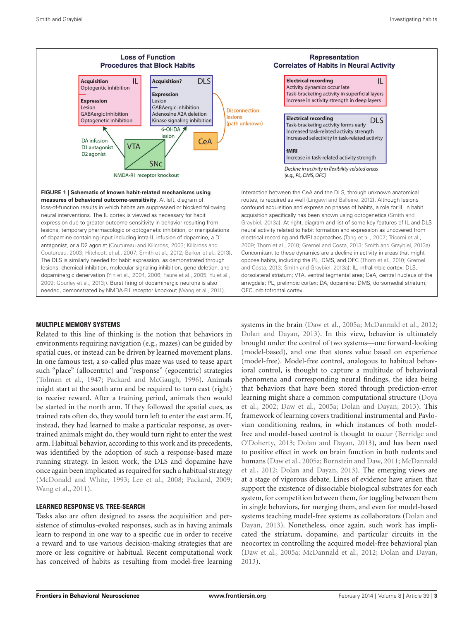

### <span id="page-3-0"></span>**MULTIPLE MEMORY SYSTEMS**

Related to this line of thinking is the notion that behaviors in environments requiring navigation (e.g., mazes) can be guided by spatial cues, or instead can be driven by learned movement plans. In one famous test, a so-called plus maze was used to tease apart such "place" (allocentric) and "response" (egocentric) strategies [\(Tolman et al.,](#page-17-13) [1947;](#page-17-13) [Packard and McGaugh,](#page-16-11) [1996\)](#page-16-11). Animals might start at the south arm and be required to turn east (right) to receive reward. After a training period, animals then would be started in the north arm. If they followed the spatial cues, as trained rats often do, they would turn left to enter the east arm. If, instead, they had learned to make a particular response, as overtrained animals might do, they would turn right to enter the west arm. Habitual behavior, according to this work and its precedents, was identified by the adoption of such a response-based maze running strategy. In lesion work, the DLS and dopamine have once again been implicated as required for such a habitual strategy [\(McDonald and White,](#page-16-12) [1993;](#page-16-12) [Lee et al.,](#page-15-14) [2008;](#page-15-14) [Packard,](#page-16-4) [2009;](#page-16-4) [Wang et al.,](#page-17-11) [2011\)](#page-17-11).

## **LEARNED RESPONSE VS. TREE-SEARCH**

Tasks also are often designed to assess the acquisition and persistence of stimulus-evoked responses, such as in having animals learn to respond in one way to a specific cue in order to receive a reward and to use various decision-making strategies that are more or less cognitive or habitual. Recent computational work has conceived of habits as resulting from model-free learning

systems in the brain [\(Daw et al.,](#page-14-4) [2005a;](#page-14-4) [McDannald et al.,](#page-16-13) [2012;](#page-16-13) [Dolan and Dayan,](#page-14-8) [2013\)](#page-14-8). In this view, behavior is ultimately brought under the control of two systems—one forward-looking (model-based), and one that stores value based on experience (model-free). Model-free control, analogous to habitual behavioral control, is thought to capture a multitude of behavioral phenomena and corresponding neural findings, the idea being that behaviors that have been stored through prediction-error learning might share a common computational structure [\(Doya](#page-15-15) [et al.,](#page-15-15) [2002;](#page-15-15) [Daw et al.,](#page-14-4) [2005a;](#page-14-4) [Dolan and Dayan,](#page-14-8) [2013\)](#page-14-8). This framework of learning covers traditional instrumental and Pavlovian conditioning realms, in which instances of both modelfree and model-based control is thought to occur [\(Berridge and](#page-14-7) [O'Doherty,](#page-14-7) [2013;](#page-14-7) [Dolan and Dayan,](#page-14-8) [2013\)](#page-14-8), and has been used to positive effect in work on brain function in both rodents and humans [\(Daw et al.,](#page-14-4) [2005a;](#page-14-4) [Bornstein and Daw,](#page-14-18) [2011;](#page-14-18) [McDannald](#page-16-13) [et al.,](#page-16-13) [2012;](#page-16-13) [Dolan and Dayan,](#page-14-8) [2013\)](#page-14-8). The emerging views are at a stage of vigorous debate. Lines of evidence have arisen that support the existence of dissociable biological substrates for each system, for competition between them, for toggling between them in single behaviors, for merging them, and even for model-based systems teaching model-free systems as collaborators [\(Dolan and](#page-14-8) [Dayan,](#page-14-8) [2013\)](#page-14-8). Nonetheless, once again, such work has implicated the striatum, dopamine, and particular circuits in the neocortex in controlling the acquired model-free behavioral plan [\(Daw et al.,](#page-14-4) [2005a;](#page-14-4) [McDannald et al.,](#page-16-13) [2012;](#page-16-13) [Dolan and Dayan,](#page-14-8) [2013\)](#page-14-8).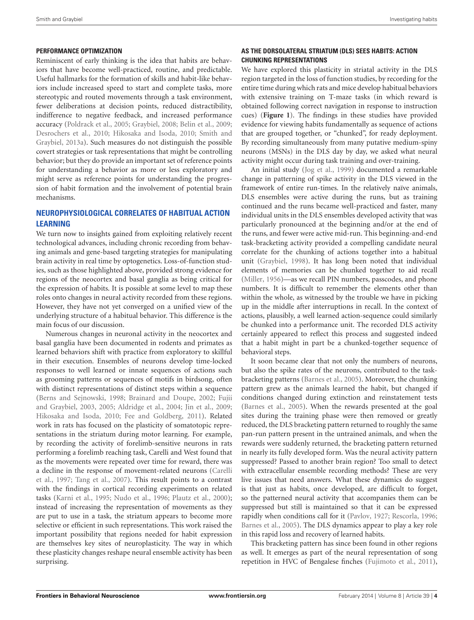## **PERFORMANCE OPTIMIZATION**

Reminiscent of early thinking is the idea that habits are behaviors that have become well-practiced, routine, and predictable. Useful hallmarks for the formation of skills and habit-like behaviors include increased speed to start and complete tasks, more stereotypic and routed movements through a task environment, fewer deliberations at decision points, reduced distractibility, indifference to negative feedback, and increased performance accuracy [\(Poldrack et al.,](#page-16-14) [2005;](#page-16-14) [Graybiel,](#page-15-5) [2008;](#page-15-5) [Belin et al.,](#page-14-5) [2009;](#page-14-5) [Desrochers et al.,](#page-14-19) [2010;](#page-14-19) [Hikosaka and Isoda,](#page-15-16) [2010;](#page-15-16) [Smith and](#page-16-8) [Graybiel,](#page-16-8) [2013a\)](#page-16-8). Such measures do not distinguish the possible covert strategies or task representations that might be controlling behavior; but they do provide an important set of reference points for understanding a behavior as more or less exploratory and might serve as reference points for understanding the progression of habit formation and the involvement of potential brain mechanisms.

# **NEUROPHYSIOLOGICAL CORRELATES OF HABITUAL ACTION LEARNING**

We turn now to insights gained from exploiting relatively recent technological advances, including chronic recording from behaving animals and gene-based targeting strategies for manipulating brain activity in real time by optogenetics. Loss-of-function studies, such as those highlighted above, provided strong evidence for regions of the neocortex and basal ganglia as being critical for the expression of habits. It is possible at some level to map these roles onto changes in neural activity recorded from these regions. However, they have not yet converged on a unified view of the underlying structure of a habitual behavior. This difference is the main focus of our discussion.

Numerous changes in neuronal activity in the neocortex and basal ganglia have been documented in rodents and primates as learned behaviors shift with practice from exploratory to skillful in their execution. Ensembles of neurons develop time-locked responses to well learned or innate sequences of actions such as grooming patterns or sequences of motifs in birdsong, often with distinct representations of distinct steps within a sequence [\(Berns and Sejnowski,](#page-14-20) [1998;](#page-14-20) [Brainard and Doupe,](#page-14-21) [2002;](#page-14-21) [Fujii](#page-15-17) [and Graybiel,](#page-15-17) [2003,](#page-15-17) [2005;](#page-15-18) [Aldridge et al.,](#page-13-1) [2004;](#page-13-1) [Jin et al.,](#page-15-19) [2009;](#page-15-19) [Hikosaka and Isoda,](#page-15-16) [2010;](#page-15-16) [Fee and Goldberg,](#page-15-20) [2011\)](#page-15-20). Related work in rats has focused on the plasticity of somatotopic representations in the striatum during motor learning. For example, by recording the activity of forelimb-sensitive neurons in rats performing a forelimb reaching task, Carelli and West found that as the movements were repeated over time for reward, there was a decline in the response of movement-related neurons [\(Carelli](#page-14-22) [et al.,](#page-14-22) [1997;](#page-14-22) [Tang et al.,](#page-16-9) [2007\)](#page-16-9). This result points to a contrast with the findings in cortical recording experiments on related tasks [\(Karni et al.,](#page-15-21) [1995;](#page-15-21) [Nudo et al.,](#page-16-15) [1996;](#page-16-15) [Plautz et al.,](#page-16-16) [2000\)](#page-16-16); instead of increasing the representation of movements as they are put to use in a task, the striatum appears to become more selective or efficient in such representations. This work raised the important possibility that regions needed for habit expression are themselves key sites of neuroplasticity. The way in which these plasticity changes reshape neural ensemble activity has been surprising.

# **AS THE DORSOLATERAL STRIATUM (DLS) SEES HABITS: ACTION CHUNKING REPRESENTATIONS**

We have explored this plasticity in striatal activity in the DLS region targeted in the loss of function studies, by recording for the entire time during which rats and mice develop habitual behaviors with extensive training on T-maze tasks (in which reward is obtained following correct navigation in response to instruction cues) (**[Figure 1](#page-3-0)**). The findings in these studies have provided evidence for viewing habits fundamentally as sequence of actions that are grouped together, or "chunked", for ready deployment. By recording simultaneously from many putative medium-spiny neurons (MSNs) in the DLS day by day, we asked what neural activity might occur during task training and over-training.

An initial study [\(Jog et al.,](#page-15-22) [1999\)](#page-15-22) documented a remarkable change in patterning of spike activity in the DLS viewed in the framework of entire run-times. In the relatively naïve animals, DLS ensembles were active during the runs, but as training continued and the runs became well-practiced and faster, many individual units in the DLS ensembles developed activity that was particularly pronounced at the beginning and/or at the end of the runs, and fewer were active mid-run. This beginning-and-end task-bracketing activity provided a compelling candidate neural correlate for the chunking of actions together into a habitual unit [\(Graybiel,](#page-15-23) [1998\)](#page-15-23). It has long been noted that individual elements of memories can be chunked together to aid recall [\(Miller,](#page-16-17) [1956\)](#page-16-17)—as we recall PIN numbers, passcodes, and phone numbers. It is difficult to remember the elements other than within the whole, as witnessed by the trouble we have in picking up in the middle after interruptions in recall. In the context of actions, plausibly, a well learned action-sequence could similarly be chunked into a performance unit. The recorded DLS activity certainly appeared to reflect this process and suggested indeed that a habit might in part be a chunked-together sequence of behavioral steps.

It soon became clear that not only the numbers of neurons, but also the spike rates of the neurons, contributed to the taskbracketing patterns [\(Barnes et al.,](#page-14-23) [2005\)](#page-14-23). Moreover, the chunking pattern grew as the animals learned the habit, but changed if conditions changed during extinction and reinstatement tests [\(Barnes et al.,](#page-14-23) [2005\)](#page-14-23). When the rewards presented at the goal sites during the training phase were then removed or greatly reduced, the DLS bracketing pattern returned to roughly the same pan-run pattern present in the untrained animals, and when the rewards were suddenly returned, the bracketing pattern returned in nearly its fully developed form. Was the neural activity pattern suppressed? Passed to another brain region? Too small to detect with extracellular ensemble recording methods? These are very live issues that need answers. What these dynamics do suggest is that just as habits, once developed, are difficult to forget, so the patterned neural activity that accompanies them can be suppressed but still is maintained so that it can be expressed rapidly when conditions call for it [\(Pavlov,](#page-16-18) [1927;](#page-16-18) [Rescorla,](#page-16-19) [1996;](#page-16-19) [Barnes et al.,](#page-14-23) [2005\)](#page-14-23). The DLS dynamics appear to play a key role in this rapid loss and recovery of learned habits.

This bracketing pattern has since been found in other regions as well. It emerges as part of the neural representation of song repetition in HVC of Bengalese finches [\(Fujimoto et al.,](#page-15-24) [2011\)](#page-15-24),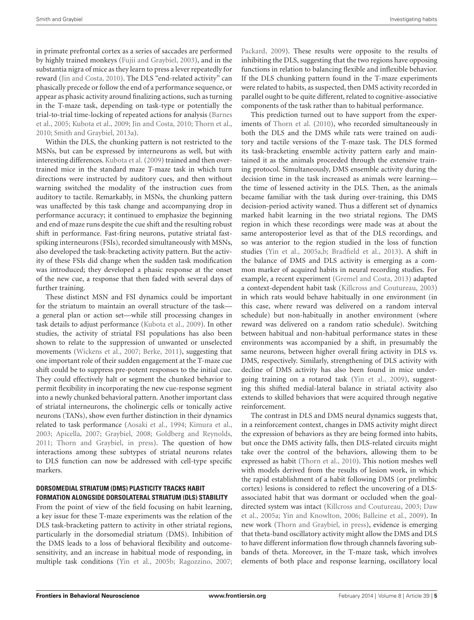in primate prefrontal cortex as a series of saccades are performed by highly trained monkeys [\(Fujii and Graybiel,](#page-15-17) [2003\)](#page-15-17), and in the substantia nigra of mice as they learn to press a lever repeatedly for reward [\(Jin and Costa,](#page-15-25) [2010\)](#page-15-25). The DLS "end-related activity" can phasically precede or follow the end of a performance sequence, or appear as phasic activity around finalizing actions, such as turning in the T-maze task, depending on task-type or potentially the trial-to-trial time-locking of repeated actions for analysis [\(Barnes](#page-14-23) [et al.,](#page-14-23) [2005;](#page-14-23) [Kubota et al.,](#page-15-26) [2009;](#page-15-26) [Jin and Costa,](#page-15-25) [2010;](#page-15-25) [Thorn et al.,](#page-16-10) [2010;](#page-16-10) [Smith and Graybiel,](#page-16-8) [2013a\)](#page-16-8).

Within the DLS, the chunking pattern is not restricted to the MSNs, but can be expressed by interneurons as well, but with interesting differences. [Kubota et al.](#page-15-26) [\(2009\)](#page-15-26) trained and then overtrained mice in the standard maze T-maze task in which turn directions were instructed by auditory cues, and then without warning switched the modality of the instruction cues from auditory to tactile. Remarkably, in MSNs, the chunking pattern was unaffected by this task change and accompanying drop in performance accuracy; it continued to emphasize the beginning and end of maze runs despite the cue shift and the resulting robust shift in performance. Fast-firing neurons, putative striatal fastspiking interneurons (FSIs), recorded simultaneously with MSNs, also developed the task-bracketing activity pattern. But the activity of these FSIs did change when the sudden task modification was introduced; they developed a phasic response at the onset of the new cue, a response that then faded with several days of further training.

These distinct MSN and FSI dynamics could be important for the striatum to maintain an overall structure of the task a general plan or action set—while still processing changes in task details to adjust performance [\(Kubota et al.,](#page-15-26) [2009\)](#page-15-26). In other studies, the activity of striatal FSI populations has also been shown to relate to the suppression of unwanted or unselected movements [\(Wickens et al.,](#page-17-14) [2007;](#page-17-14) [Berke,](#page-14-24) [2011\)](#page-14-24), suggesting that one important role of their sudden engagement at the T-maze cue shift could be to suppress pre-potent responses to the initial cue. They could effectively halt or segment the chunked behavior to permit flexibility in incorporating the new cue-response segment into a newly chunked behavioral pattern. Another important class of striatal interneurons, the cholinergic cells or tonically active neurons (TANs), show even further distinction in their dynamics related to task performance [\(Aosaki et al.,](#page-13-2) [1994;](#page-13-2) [Kimura et al.,](#page-15-27) [2003;](#page-15-27) [Apicella,](#page-13-3) [2007;](#page-13-3) [Graybiel,](#page-15-5) [2008;](#page-15-5) [Goldberg and Reynolds,](#page-15-28) [2011;](#page-15-28) [Thorn and Graybiel,](#page-17-15) [in press\)](#page-17-15). The question of how interactions among these subtypes of striatal neurons relates to DLS function can now be addressed with cell-type specific markers.

### **DORSOMEDIAL STRIATUM (DMS) PLASTICITY TRACKS HABIT FORMATION ALONGSIDE DORSOLATERAL STRIATUM (DLS) STABILITY**

From the point of view of the field focusing on habit learning, a key issue for these T-maze experiments was the relation of the DLS task-bracketing pattern to activity in other striatal regions, particularly in the dorsomedial striatum (DMS). Inhibition of the DMS leads to a loss of behavioral flexibility and outcomesensitivity, and an increase in habitual mode of responding, in multiple task conditions [\(Yin et al.,](#page-17-16) [2005b;](#page-17-16) [Ragozzino,](#page-16-20) [2007;](#page-16-20)

[Packard,](#page-16-4) [2009\)](#page-16-4). These results were opposite to the results of inhibiting the DLS, suggesting that the two regions have opposing functions in relation to balancing flexible and inflexible behavior. If the DLS chunking pattern found in the T-maze experiments were related to habits, as suspected, then DMS activity recorded in parallel ought to be quite different, related to cognitive-associative components of the task rather than to habitual performance.

This prediction turned out to have support from the experiments of [Thorn et al.](#page-16-10) [\(2010\)](#page-16-10), who recorded simultaneously in both the DLS and the DMS while rats were trained on auditory and tactile versions of the T-maze task. The DLS formed its task-bracketing ensemble activity pattern early and maintained it as the animals proceeded through the extensive training protocol. Simultaneously, DMS ensemble activity during the decision time in the task increased as animals were learning the time of lessened activity in the DLS. Then, as the animals became familiar with the task during over-training, this DMS decision-period activity waned. Thus a different set of dynamics marked habit learning in the two striatal regions. The DMS region in which these recordings were made was at about the same anteroposterior level as that of the DLS recordings, and so was anterior to the region studied in the loss of function studies [\(Yin et al.,](#page-17-17) [2005a](#page-17-17)[,b;](#page-17-16) [Bradfield et al.,](#page-14-25) [2013\)](#page-14-25). A shift in the balance of DMS and DLS activity is emerging as a common marker of acquired habits in neural recording studies. For example, a recent experiment [\(Gremel and Costa,](#page-15-13) [2013\)](#page-15-13) adapted a context-dependent habit task [\(Killcross and Coutureau,](#page-15-6) [2003\)](#page-15-6) in which rats would behave habitually in one environment (in this case, where reward was delivered on a random interval schedule) but non-habitually in another environment (where reward was delivered on a random ratio schedule). Switching between habitual and non-habitual performance states in these environments was accompanied by a shift, in presumably the same neurons, between higher overall firing activity in DLS vs. DMS, respectively. Similarly, strengthening of DLS activity with decline of DMS activity has also been found in mice undergoing training on a rotarod task [\(Yin et al.,](#page-17-18) [2009\)](#page-17-18), suggesting this shifted medial-lateral balance in striatal activity also extends to skilled behaviors that were acquired through negative reinforcement.

The contrast in DLS and DMS neural dynamics suggests that, in a reinforcement context, changes in DMS activity might direct the expression of behaviors as they are being formed into habits, but once the DMS activity falls, then DLS-related circuits might take over the control of the behaviors, allowing them to be expressed as habit [\(Thorn et al.,](#page-16-10) [2010\)](#page-16-10). This notion meshes well with models derived from the results of lesion work, in which the rapid establishment of a habit following DMS (or prelimbic cortex) lesions is considered to reflect the uncovering of a DLSassociated habit that was dormant or occluded when the goaldirected system was intact [\(Killcross and Coutureau,](#page-15-6) [2003;](#page-15-6) [Daw](#page-14-4) [et al.,](#page-14-4) [2005a;](#page-14-4) [Yin and Knowlton,](#page-17-4) [2006;](#page-17-4) [Balleine et al.,](#page-14-9) [2009\)](#page-14-9). In new work [\(Thorn and Graybiel,](#page-17-15) [in press\)](#page-17-15), evidence is emerging that theta-band oscillatory activity might allow the DMS and DLS to have different information flow through channels favoring subbands of theta. Moreover, in the T-maze task, which involves elements of both place and response learning, oscillatory local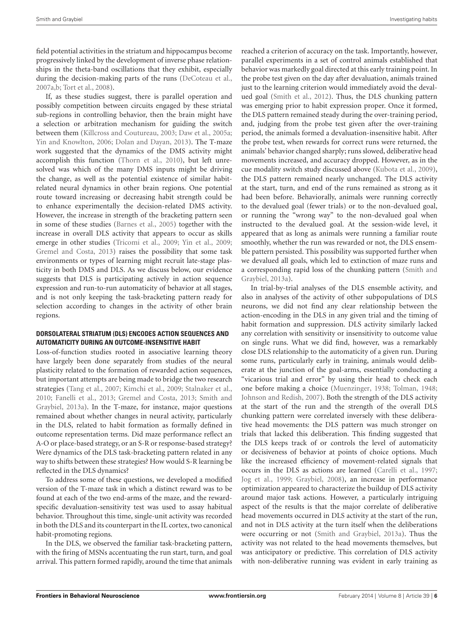field potential activities in the striatum and hippocampus become progressively linked by the development of inverse phase relationships in the theta-band oscillations that they exhibit, especially during the decision-making parts of the runs [\(DeCoteau et al.,](#page-14-26) [2007a,](#page-14-26)[b;](#page-14-27) [Tort et al.,](#page-17-19) [2008\)](#page-17-19).

If, as these studies suggest, there is parallel operation and possibly competition between circuits engaged by these striatal sub-regions in controlling behavior, then the brain might have a selection or arbitration mechanism for guiding the switch between them [\(Killcross and Coutureau,](#page-15-6) [2003;](#page-15-6) [Daw et al.,](#page-14-4) [2005a;](#page-14-4) [Yin and Knowlton,](#page-17-4) [2006;](#page-17-4) [Dolan and Dayan,](#page-14-8) [2013\)](#page-14-8). The T-maze work suggested that the dynamics of the DMS activity might accomplish this function [\(Thorn et al.,](#page-16-10) [2010\)](#page-16-10), but left unresolved was which of the many DMS inputs might be driving the change, as well as the potential existence of similar habitrelated neural dynamics in other brain regions. One potential route toward increasing or decreasing habit strength could be to enhance experimentally the decision-related DMS activity. However, the increase in strength of the bracketing pattern seen in some of these studies [\(Barnes et al.,](#page-14-23) [2005\)](#page-14-23) together with the increase in overall DLS activity that appears to occur as skills emerge in other studies [\(Tricomi et al.,](#page-17-6) [2009;](#page-17-6) [Yin et al.,](#page-17-18) [2009;](#page-17-18) [Gremel and Costa,](#page-15-13) [2013\)](#page-15-13) raises the possibility that some task environments or types of learning might recruit late-stage plasticity in both DMS and DLS. As we discuss below, our evidence suggests that DLS is participating actively in action sequence expression and run-to-run automaticity of behavior at all stages, and is not only keeping the task-bracketing pattern ready for selection according to changes in the activity of other brain regions.

## **DORSOLATERAL STRIATUM (DLS) ENCODES ACTION SEQUENCES AND AUTOMATICITY DURING AN OUTCOME-INSENSITIVE HABIT**

Loss-of-function studies rooted in associative learning theory have largely been done separately from studies of the neural plasticity related to the formation of rewarded action sequences, but important attempts are being made to bridge the two research strategies [\(Tang et al.,](#page-16-9) [2007;](#page-16-9) [Kimchi et al.,](#page-15-29) [2009;](#page-15-29) [Stalnaker et al.,](#page-16-21) [2010;](#page-16-21) [Fanelli et al.,](#page-15-30) [2013;](#page-15-30) [Gremel and Costa,](#page-15-13) [2013;](#page-15-13) [Smith and](#page-16-8) [Graybiel,](#page-16-8) [2013a\)](#page-16-8). In the T-maze, for instance, major questions remained about whether changes in neural activity, particularly in the DLS, related to habit formation as formally defined in outcome representation terms. Did maze performance reflect an A-O or place-based strategy, or an S-R or response-based strategy? Were dynamics of the DLS task-bracketing pattern related in any way to shifts between these strategies? How would S-R learning be reflected in the DLS dynamics?

To address some of these questions, we developed a modified version of the T-maze task in which a distinct reward was to be found at each of the two end-arms of the maze, and the rewardspecific devaluation-sensitivity test was used to assay habitual behavior. Throughout this time, single-unit activity was recorded in both the DLS and its counterpart in the IL cortex, two canonical habit-promoting regions.

In the DLS, we observed the familiar task-bracketing pattern, with the firing of MSNs accentuating the run start, turn, and goal arrival. This pattern formed rapidly, around the time that animals

reached a criterion of accuracy on the task. Importantly, however, parallel experiments in a set of control animals established that behavior was markedly goal directed at this early training point. In the probe test given on the day after devaluation, animals trained just to the learning criterion would immediately avoid the devalued goal [\(Smith et al.,](#page-16-7) [2012\)](#page-16-7). Thus, the DLS chunking pattern was emerging prior to habit expression proper. Once it formed, the DLS pattern remained steady during the over-training period, and, judging from the probe test given after the over-training period, the animals formed a devaluation-insensitive habit. After the probe test, when rewards for correct runs were returned, the animals' behavior changed sharply; runs slowed, deliberative head movements increased, and accuracy dropped. However, as in the cue modality switch study discussed above [\(Kubota et al.,](#page-15-26) [2009\)](#page-15-26), the DLS pattern remained nearly unchanged. The DLS activity at the start, turn, and end of the runs remained as strong as it had been before. Behaviorally, animals were running correctly to the devalued goal (fewer trials) or to the non-devalued goal, or running the "wrong way" to the non-devalued goal when instructed to the devalued goal. At the session-wide level, it appeared that as long as animals were running a familiar route smoothly, whether the run was rewarded or not, the DLS ensemble pattern persisted. This possibility was supported further when we devalued all goals, which led to extinction of maze runs and a corresponding rapid loss of the chunking pattern [\(Smith and](#page-16-8) [Graybiel,](#page-16-8) [2013a\)](#page-16-8).

In trial-by-trial analyses of the DLS ensemble activity, and also in analyses of the activity of other subpopulations of DLS neurons, we did not find any clear relationship between the action-encoding in the DLS in any given trial and the timing of habit formation and suppression. DLS activity similarly lacked any correlation with sensitivity or insensitivity to outcome value on single runs. What we did find, however, was a remarkably close DLS relationship to the automaticity of a given run. During some runs, particularly early in training, animals would deliberate at the junction of the goal-arms, essentially conducting a "vicarious trial and error" by using their head to check each one before making a choice [\(Muenzinger,](#page-16-22) [1938;](#page-16-22) [Tolman,](#page-17-20) [1948;](#page-17-20) [Johnson and Redish,](#page-15-31) [2007\)](#page-15-31). Both the strength of the DLS activity at the start of the run and the strength of the overall DLS chunking pattern were correlated inversely with these deliberative head movements: the DLS pattern was much stronger on trials that lacked this deliberation. This finding suggested that the DLS keeps track of or controls the level of automaticity or decisiveness of behavior at points of choice options. Much like the increased efficiency of movement-related signals that occurs in the DLS as actions are learned [\(Carelli et al.,](#page-14-22) [1997;](#page-14-22) [Jog et al.,](#page-15-22) [1999;](#page-15-22) [Graybiel,](#page-15-5) [2008\)](#page-15-5), an increase in performance optimization appeared to characterize the buildup of DLS activity around major task actions. However, a particularly intriguing aspect of the results is that the major correlate of deliberative head movements occurred in DLS activity at the start of the run, and not in DLS activity at the turn itself when the deliberations were occurring or not [\(Smith and Graybiel,](#page-16-8) [2013a\)](#page-16-8). Thus the activity was not related to the head movements themselves, but was anticipatory or predictive. This correlation of DLS activity with non-deliberative running was evident in early training as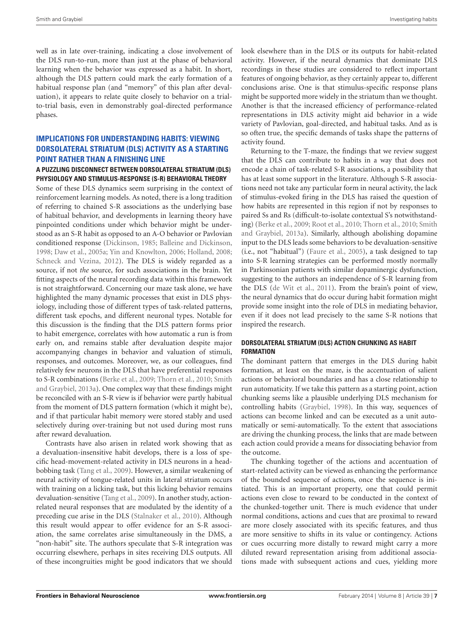well as in late over-training, indicating a close involvement of the DLS run-to-run, more than just at the phase of behavioral learning when the behavior was expressed as a habit. In short, although the DLS pattern could mark the early formation of a habitual response plan (and "memory" of this plan after devaluation), it appears to relate quite closely to behavior on a trialto-trial basis, even in demonstrably goal-directed performance phases.

# **IMPLICATIONS FOR UNDERSTANDING HABITS: VIEWING DORSOLATERAL STRIATUM (DLS) ACTIVITY AS A STARTING POINT RATHER THAN A FINISHING LINE**

### **A PUZZLING DISCONNECT BETWEEN DORSOLATERAL STRIATUM (DLS) PHYSIOLOGY AND STIMULUS-RESPONSE (S-R) BEHAVIORAL THEORY**

Some of these DLS dynamics seem surprising in the context of reinforcement learning models. As noted, there is a long tradition of referring to chained S-R associations as the underlying base of habitual behavior, and developments in learning theory have pinpointed conditions under which behavior might be understood as an S-R habit as opposed to an A-O behavior or Pavlovian conditioned response [\(Dickinson,](#page-14-3) [1985;](#page-14-3) [Balleine and Dickinson,](#page-14-11) [1998;](#page-14-11) [Daw et al.,](#page-14-4) [2005a;](#page-14-4) [Yin and Knowlton,](#page-17-4) [2006;](#page-17-4) [Holland,](#page-15-3) [2008;](#page-15-3) [Schneck and Vezina,](#page-16-23) [2012\)](#page-16-23). The DLS is widely regarded as a source, if not *the* source, for such associations in the brain. Yet fitting aspects of the neural recording data within this framework is not straightforward. Concerning our maze task alone, we have highlighted the many dynamic processes that exist in DLS physiology, including those of different types of task-related patterns, different task epochs, and different neuronal types. Notable for this discussion is the finding that the DLS pattern forms prior to habit emergence, correlates with how automatic a run is from early on, and remains stable after devaluation despite major accompanying changes in behavior and valuation of stimuli, responses, and outcomes. Moreover, we, as our colleagues, find relatively few neurons in the DLS that have preferential responses to S-R combinations [\(Berke et al.,](#page-14-28) [2009;](#page-14-28) [Thorn et al.,](#page-16-10) [2010;](#page-16-10) [Smith](#page-16-8) [and Graybiel,](#page-16-8) [2013a\)](#page-16-8). One complex way that these findings might be reconciled with an S-R view is if behavior were partly habitual from the moment of DLS pattern formation (which it might be), and if that particular habit memory were stored stably and used selectively during over-training but not used during most runs after reward devaluation.

Contrasts have also arisen in related work showing that as a devaluation-insensitive habit develops, there is a loss of specific head-movement-related activity in DLS neurons in a headbobbing task [\(Tang et al.,](#page-16-24) [2009\)](#page-16-24). However, a similar weakening of neural activity of tongue-related units in lateral striatum occurs with training on a licking task, but this licking behavior remains devaluation-sensitive [\(Tang et al.,](#page-16-24) [2009\)](#page-16-24). In another study, actionrelated neural responses that are modulated by the identity of a preceding cue arise in the DLS [\(Stalnaker et al.,](#page-16-21) [2010\)](#page-16-21). Although this result would appear to offer evidence for an S-R association, the same correlates arise simultaneously in the DMS, a "non-habit" site. The authors speculate that S-R integration was occurring elsewhere, perhaps in sites receiving DLS outputs. All of these incongruities might be good indicators that we should

look elsewhere than in the DLS or its outputs for habit-related activity. However, if the neural dynamics that dominate DLS recordings in these studies are considered to reflect important features of ongoing behavior, as they certainly appear to, different conclusions arise. One is that stimulus-specific response plans might be supported more widely in the striatum than we thought. Another is that the increased efficiency of performance-related representations in DLS activity might aid behavior in a wide variety of Pavlovian, goal-directed, and habitual tasks. And as is so often true, the specific demands of tasks shape the patterns of activity found.

Returning to the T-maze, the findings that we review suggest that the DLS can contribute to habits in a way that does not encode a chain of task-related S-R associations, a possibility that has at least some support in the literature. Although S-R associations need not take any particular form in neural activity, the lack of stimulus-evoked firing in the DLS has raised the question of how habits are represented in this region if not by responses to paired Ss and Rs (difficult-to-isolate contextual S's notwithstanding) [\(Berke et al.,](#page-14-28) [2009;](#page-14-28) [Root et al.,](#page-16-25) [2010;](#page-16-25) [Thorn et al.,](#page-16-10) [2010;](#page-16-10) [Smith](#page-16-8) [and Graybiel,](#page-16-8) [2013a\)](#page-16-8). Similarly, although abolishing dopamine input to the DLS leads some behaviors to be devaluation-sensitive (i.e., not "habitual") [\(Faure et al.,](#page-15-9) [2005\)](#page-15-9), a task designed to tap into S-R learning strategies can be performed mostly normally in Parkinsonian patients with similar dopaminergic dysfunction, suggesting to the authors an independence of S-R learning from the DLS [\(de Wit et al.,](#page-14-29) [2011\)](#page-14-29). From the brain's point of view, the neural dynamics that do occur during habit formation might provide some insight into the role of DLS in mediating behavior, even if it does not lead precisely to the same S-R notions that inspired the research.

# **DORSOLATERAL STRIATUM (DLS) ACTION CHUNKING AS HABIT FORMATION**

The dominant pattern that emerges in the DLS during habit formation, at least on the maze, is the accentuation of salient actions or behavioral boundaries and has a close relationship to run automaticity. If we take this pattern as a starting point, action chunking seems like a plausible underlying DLS mechanism for controlling habits [\(Graybiel,](#page-15-23) [1998\)](#page-15-23). In this way, sequences of actions can become linked and can be executed as a unit automatically or semi-automatically. To the extent that associations are driving the chunking process, the links that are made between each action could provide a means for dissociating behavior from the outcome.

The chunking together of the actions and accentuation of start-related activity can be viewed as enhancing the performance of the bounded sequence of actions, once the sequence is initiated. This is an important property, one that could permit actions even close to reward to be conducted in the context of the chunked-together unit. There is much evidence that under normal conditions, actions and cues that are proximal to reward are more closely associated with its specific features, and thus are more sensitive to shifts in its value or contingency. Actions or cues occurring more distally to reward might carry a more diluted reward representation arising from additional associations made with subsequent actions and cues, yielding more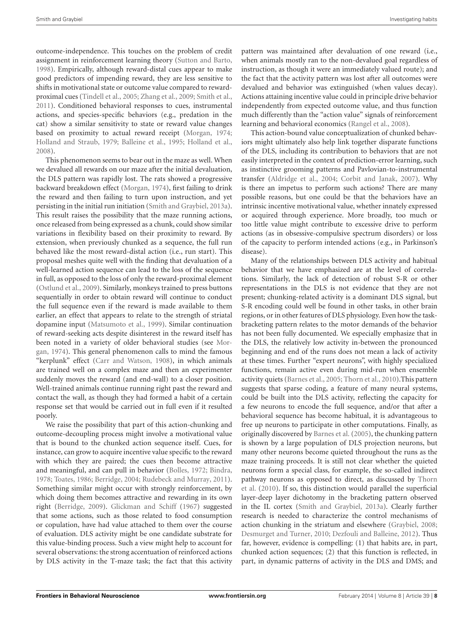outcome-independence. This touches on the problem of credit assignment in reinforcement learning theory [\(Sutton and Barto,](#page-16-26) [1998\)](#page-16-26). Empirically, although reward-distal cues appear to make good predictors of impending reward, they are less sensitive to shifts in motivational state or outcome value compared to rewardproximal cues [\(Tindell et al.,](#page-17-21) [2005;](#page-17-21) [Zhang et al.,](#page-17-22) [2009;](#page-17-22) [Smith et al.,](#page-16-27) [2011\)](#page-16-27). Conditioned behavioral responses to cues, instrumental actions, and species-specific behaviors (e.g., predation in the cat) show a similar sensitivity to state or reward value changes based on proximity to actual reward receipt [\(Morgan,](#page-16-28) [1974;](#page-16-28) [Holland and Straub,](#page-15-32) [1979;](#page-15-32) [Balleine et al.,](#page-14-30) [1995;](#page-14-30) [Holland et al.,](#page-15-33) [2008\)](#page-15-33).

This phenomenon seems to bear out in the maze as well. When we devalued all rewards on our maze after the initial devaluation, the DLS pattern was rapidly lost. The rats showed a progressive backward breakdown effect [\(Morgan,](#page-16-28) [1974\)](#page-16-28), first failing to drink the reward and then failing to turn upon instruction, and yet persisting in the initial run initiation [\(Smith and Graybiel,](#page-16-8) [2013a\)](#page-16-8). This result raises the possibility that the maze running actions, once released from being expressed as a chunk, could show similar variations in flexibility based on their proximity to reward. By extension, when previously chunked as a sequence, the full run behaved like the most reward-distal action (i.e., run start). This proposal meshes quite well with the finding that devaluation of a well-learned action sequence can lead to the loss of the sequence in full, as opposed to the loss of only the reward-proximal element [\(Ostlund et al.,](#page-16-29) [2009\)](#page-16-29). Similarly, monkeys trained to press buttons sequentially in order to obtain reward will continue to conduct the full sequence even if the reward is made available to them earlier, an effect that appears to relate to the strength of striatal dopamine input [\(Matsumoto et al.,](#page-16-30) [1999\)](#page-16-30). Similar continuation of reward-seeking acts despite disinterest in the reward itself has been noted in a variety of older behavioral studies (see [Mor](#page-16-28)[gan,](#page-16-28) [1974\)](#page-16-28). This general phenomenon calls to mind the famous "kerplunk" effect [\(Carr and Watson,](#page-14-31) [1908\)](#page-14-31), in which animals are trained well on a complex maze and then an experimenter suddenly moves the reward (and end-wall) to a closer position. Well-trained animals continue running right past the reward and contact the wall, as though they had formed a habit of a certain response set that would be carried out in full even if it resulted poorly.

We raise the possibility that part of this action-chunking and outcome-decoupling process might involve a motivational value that is bound to the chunked action sequence itself. Cues, for instance, can grow to acquire incentive value specific to the reward with which they are paired; the cues then become attractive and meaningful, and can pull in behavior [\(Bolles,](#page-14-0) [1972;](#page-14-0) [Bindra,](#page-14-1) [1978;](#page-14-1) [Toates,](#page-17-2) [1986;](#page-17-2) [Berridge,](#page-14-2) [2004;](#page-14-2) [Rudebeck and Murray,](#page-16-31) [2011\)](#page-16-31). Something similar might occur with strongly reinforcement, by which doing them becomes attractive and rewarding in its own right [\(Berridge,](#page-14-32) [2009\)](#page-14-32). [Glickman and Schiff](#page-15-34) [\(1967\)](#page-15-34) suggested that some actions, such as those related to food consumption or copulation, have had value attached to them over the course of evaluation. DLS activity might be one candidate substrate for this value-binding process. Such a view might help to account for several observations: the strong accentuation of reinforced actions by DLS activity in the T-maze task; the fact that this activity

pattern was maintained after devaluation of one reward (i.e., when animals mostly ran to the non-devalued goal regardless of instruction, as though it were an immediately valued route); and the fact that the activity pattern was lost after all outcomes were devalued and behavior was extinguished (when values decay). Actions attaining incentive value could in principle drive behavior independently from expected outcome value, and thus function much differently than the "action value" signals of reinforcement learning and behavioral economics [\(Rangel et al.,](#page-16-32) [2008\)](#page-16-32).

This action-bound value conceptualization of chunked behaviors might ultimately also help link together disparate functions of the DLS, including its contribution to behaviors that are not easily interpreted in the context of prediction-error learning, such as instinctive grooming patterns and Pavlovian-to-instrumental transfer [\(Aldridge et al.,](#page-13-1) [2004;](#page-13-1) [Corbit and Janak,](#page-14-33) [2007\)](#page-14-33). Why is there an impetus to perform such actions? There are many possible reasons, but one could be that the behaviors have an intrinsic incentive motivational value, whether innately expressed or acquired through experience. More broadly, too much or too little value might contribute to excessive drive to perform actions (as in obsessive-compulsive spectrum disorders) or loss of the capacity to perform intended actions (e.g., in Parkinson's disease).

Many of the relationships between DLS activity and habitual behavior that we have emphasized are at the level of correlations. Similarly, the lack of detection of robust S-R or other representations in the DLS is not evidence that they are not present; chunking-related activity is a dominant DLS signal, but S-R encoding could well be found in other tasks, in other brain regions, or in other features of DLS physiology. Even how the taskbracketing pattern relates to the motor demands of the behavior has not been fully documented. We especially emphasize that in the DLS, the relatively low activity in-between the pronounced beginning and end of the runs does not mean a lack of activity at these times. Further "expert neurons", with highly specialized functions, remain active even during mid-run when ensemble activity quiets [\(Barnes et al.,](#page-14-23) [2005;](#page-14-23) [Thorn et al.,](#page-16-10) [2010\)](#page-16-10).This pattern suggests that sparse coding, a feature of many neural systems, could be built into the DLS activity, reflecting the capacity for a few neurons to encode the full sequence, and/or that after a behavioral sequence has become habitual, it is advantageous to free up neurons to participate in other computations. Finally, as originally discovered by [Barnes et al.](#page-14-23) [\(2005\)](#page-14-23), the chunking pattern is shown by a large population of DLS projection neurons, but many other neurons become quieted throughout the runs as the maze training proceeds. It is still not clear whether the quieted neurons form a special class, for example, the so-called indirect pathway neurons as opposed to direct, as discussed by [Thorn](#page-16-10) [et al.](#page-16-10) [\(2010\)](#page-16-10). If so, this distinction would parallel the superficial layer-deep layer dichotomy in the bracketing pattern observed in the IL cortex [\(Smith and Graybiel,](#page-16-8) [2013a\)](#page-16-8). Clearly further research is needed to characterize the control mechanisms of action chunking in the striatum and elsewhere [\(Graybiel,](#page-15-5) [2008;](#page-15-5) [Desmurget and Turner,](#page-14-34) [2010;](#page-14-34) [Dezfouli and Balleine,](#page-14-35) [2012\)](#page-14-35). Thus far, however, evidence is compelling: (1) that habits are, in part, chunked action sequences; (2) that this function is reflected, in part, in dynamic patterns of activity in the DLS and DMS; and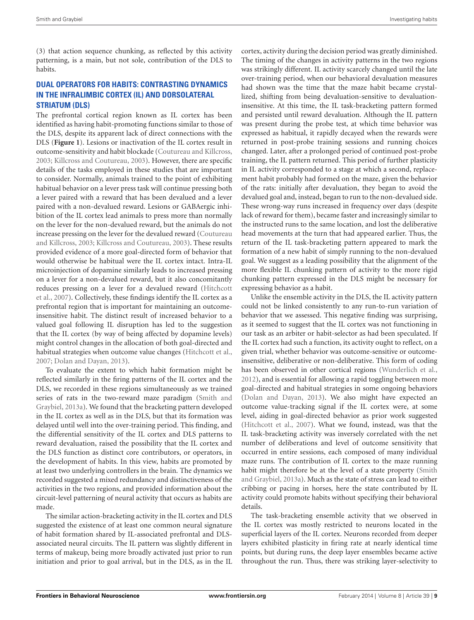(3) that action sequence chunking, as reflected by this activity patterning, is a main, but not sole, contribution of the DLS to habits.

# **DUAL OPERATORS FOR HABITS: CONTRASTING DYNAMICS IN THE INFRALIMBIC CORTEX (IL) AND DORSOLATERAL STRIATUM (DLS)**

The prefrontal cortical region known as IL cortex has been identified as having habit-promoting functions similar to those of the DLS, despite its apparent lack of direct connections with the DLS (**[Figure 1](#page-3-0)**). Lesions or inactivation of the IL cortex result in outcome-sensitivity and habit blockade [\(Coutureau and Killcross,](#page-14-16) [2003;](#page-14-16) [Killcross and Coutureau,](#page-15-6) [2003\)](#page-15-6). However, there are specific details of the tasks employed in these studies that are important to consider. Normally, animals trained to the point of exhibiting habitual behavior on a lever press task will continue pressing both a lever paired with a reward that has been devalued and a lever paired with a non-devalued reward. Lesions or GABAergic inhibition of the IL cortex lead animals to press more than normally on the lever for the non-devalued reward, but the animals do not increase pressing on the lever for the devalued reward [\(Coutureau](#page-14-16) [and Killcross,](#page-14-16) [2003;](#page-14-16) [Killcross and Coutureau,](#page-15-6) [2003\)](#page-15-6). These results provided evidence of a more goal-directed form of behavior that would otherwise be habitual were the IL cortex intact. Intra-IL microinjection of dopamine similarly leads to increased pressing on a lever for a non-devalued reward, but it also concomitantly reduces pressing on a lever for a devalued reward [\(Hitchcott](#page-15-11) [et al.,](#page-15-11) [2007\)](#page-15-11). Collectively, these findings identify the IL cortex as a prefrontal region that is important for maintaining an outcomeinsensitive habit. The distinct result of increased behavior to a valued goal following IL disruption has led to the suggestion that the IL cortex (by way of being affected by dopamine levels) might control changes in the allocation of both goal-directed and habitual strategies when outcome value changes [\(Hitchcott et al.,](#page-15-11) [2007;](#page-15-11) [Dolan and Dayan,](#page-14-8) [2013\)](#page-14-8).

To evaluate the extent to which habit formation might be reflected similarly in the firing patterns of the IL cortex and the DLS, we recorded in these regions simultaneously as we trained series of rats in the two-reward maze paradigm [\(Smith and](#page-16-8) [Graybiel,](#page-16-8) [2013a\)](#page-16-8). We found that the bracketing pattern developed in the IL cortex as well as in the DLS, but that its formation was delayed until well into the over-training period. This finding, and the differential sensitivity of the IL cortex and DLS patterns to reward devaluation, raised the possibility that the IL cortex and the DLS function as distinct core contributors, or operators, in the development of habits. In this view, habits are promoted by at least two underlying controllers in the brain. The dynamics we recorded suggested a mixed redundancy and distinctiveness of the activities in the two regions, and provided information about the circuit-level patterning of neural activity that occurs as habits are made.

The similar action-bracketing activity in the IL cortex and DLS suggested the existence of at least one common neural signature of habit formation shared by IL-associated prefrontal and DLSassociated neural circuits. The IL pattern was slightly different in terms of makeup, being more broadly activated just prior to run initiation and prior to goal arrival, but in the DLS, as in the IL

cortex, activity during the decision period was greatly diminished. The timing of the changes in activity patterns in the two regions was strikingly different. IL activity scarcely changed until the late over-training period, when our behavioral devaluation measures had shown was the time that the maze habit became crystallized, shifting from being devaluation-sensitive to devaluationinsensitive. At this time, the IL task-bracketing pattern formed and persisted until reward devaluation. Although the IL pattern was present during the probe test, at which time behavior was expressed as habitual, it rapidly decayed when the rewards were returned in post-probe training sessions and running choices changed. Later, after a prolonged period of continued post-probe training, the IL pattern returned. This period of further plasticity in IL activity corresponded to a stage at which a second, replacement habit probably had formed on the maze, given the behavior of the rats: initially after devaluation, they began to avoid the devalued goal and, instead, began to run to the non-devalued side. These wrong-way runs increased in frequency over days (despite lack of reward for them), became faster and increasingly similar to the instructed runs to the same location, and lost the deliberative head movements at the turn that had appeared earlier. Thus, the return of the IL task-bracketing pattern appeared to mark the formation of a new habit of simply running to the non-devalued goal. We suggest as a leading possibility that the alignment of the more flexible IL chunking pattern of activity to the more rigid chunking pattern expressed in the DLS might be necessary for expressing behavior as a habit.

Unlike the ensemble activity in the DLS, the IL activity pattern could not be linked consistently to any run-to-run variation of behavior that we assessed. This negative finding was surprising, as it seemed to suggest that the IL cortex was not functioning in our task as an arbiter or habit-selector as had been speculated. If the IL cortex had such a function, its activity ought to reflect, on a given trial, whether behavior was outcome-sensitive or outcomeinsensitive, deliberative or non-deliberative. This form of coding has been observed in other cortical regions [\(Wunderlich et al.,](#page-17-23) [2012\)](#page-17-23), and is essential for allowing a rapid toggling between more goal-directed and habitual strategies in some ongoing behaviors [\(Dolan and Dayan,](#page-14-8) [2013\)](#page-14-8). We also might have expected an outcome value-tracking signal if the IL cortex were, at some level, aiding in goal-directed behavior as prior work suggested [\(Hitchcott et al.,](#page-15-11) [2007\)](#page-15-11). What we found, instead, was that the IL task-bracketing activity was inversely correlated with the net number of deliberations and level of outcome sensitivity that occurred in entire sessions, each composed of many individual maze runs. The contribution of IL cortex to the maze running habit might therefore be at the level of a state property [\(Smith](#page-16-8) [and Graybiel,](#page-16-8) [2013a\)](#page-16-8). Much as the state of stress can lead to either cribbing or pacing in horses, here the state contributed by IL activity could promote habits without specifying their behavioral details.

The task-bracketing ensemble activity that we observed in the IL cortex was mostly restricted to neurons located in the superficial layers of the IL cortex. Neurons recorded from deeper layers exhibited plasticity in firing rate at nearly identical time points, but during runs, the deep layer ensembles became active throughout the run. Thus, there was striking layer-selectivity to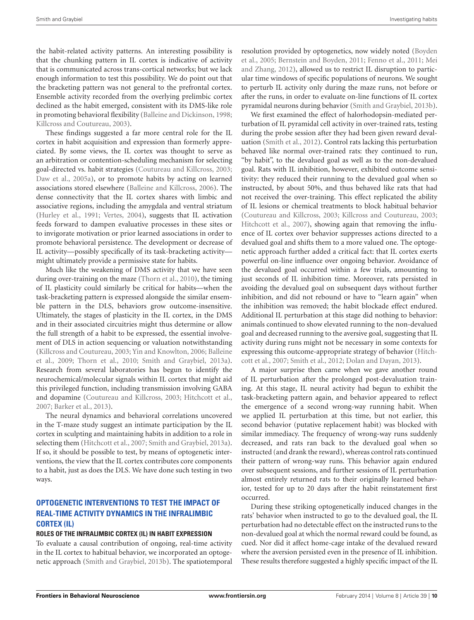the habit-related activity patterns. An interesting possibility is that the chunking pattern in IL cortex is indicative of activity that is communicated across trans-cortical networks; but we lack enough information to test this possibility. We do point out that the bracketing pattern was not general to the prefrontal cortex. Ensemble activity recorded from the overlying prelimbic cortex declined as the habit emerged, consistent with its DMS-like role in promoting behavioral flexibility [\(Balleine and Dickinson,](#page-14-11) [1998;](#page-14-11) [Killcross and Coutureau,](#page-15-6) [2003\)](#page-15-6).

These findings suggested a far more central role for the IL cortex in habit acquisition and expression than formerly appreciated. By some views, the IL cortex was thought to serve as an arbitration or contention-scheduling mechanism for selecting goal-directed vs. habit strategies [\(Coutureau and Killcross,](#page-14-16) [2003;](#page-14-16) [Daw et al.,](#page-14-4) [2005a\)](#page-14-4), or to promote habits by acting on learned associations stored elsewhere [\(Balleine and Killcross,](#page-14-36) [2006\)](#page-14-36). The dense connectivity that the IL cortex shares with limbic and associative regions, including the amygdala and ventral striatum [\(Hurley et al.,](#page-15-35) [1991;](#page-15-35) [Vertes,](#page-17-24) [2004\)](#page-17-24), suggests that IL activation feeds forward to dampen evaluative processes in these sites or to invigorate motivation or prior learned associations in order to promote behavioral persistence. The development or decrease of IL activity—possibly specifically of its task-bracketing activity might ultimately provide a permissive state for habits.

Much like the weakening of DMS activity that we have seen during over-training on the maze [\(Thorn et al.,](#page-16-10) [2010\)](#page-16-10), the timing of IL plasticity could similarly be critical for habits—when the task-bracketing pattern is expressed alongside the similar ensemble pattern in the DLS, behaviors grow outcome-insensitive. Ultimately, the stages of plasticity in the IL cortex, in the DMS and in their associated circuitries might thus determine or allow the full strength of a habit to be expressed, the essential involvement of DLS in action sequencing or valuation notwithstanding [\(Killcross and Coutureau,](#page-15-6) [2003;](#page-15-6) [Yin and Knowlton,](#page-17-4) [2006;](#page-17-4) [Balleine](#page-14-9) [et al.,](#page-14-9) [2009;](#page-14-9) [Thorn et al.,](#page-16-10) [2010;](#page-16-10) [Smith and Graybiel,](#page-16-8) [2013a\)](#page-16-8). Research from several laboratories has begun to identify the neurochemical/molecular signals within IL cortex that might aid this privileged function, including transmission involving GABA and dopamine [\(Coutureau and Killcross,](#page-14-16) [2003;](#page-14-16) [Hitchcott et al.,](#page-15-11) [2007;](#page-15-11) [Barker et al.,](#page-14-17) [2013\)](#page-14-17).

The neural dynamics and behavioral correlations uncovered in the T-maze study suggest an intimate participation by the IL cortex in sculpting and maintaining habits in addition to a role in selecting them [\(Hitchcott et al.,](#page-15-11) [2007;](#page-15-11) [Smith and Graybiel,](#page-16-8) [2013a\)](#page-16-8). If so, it should be possible to test, by means of optogenetic interventions, the view that the IL cortex contributes core components to a habit, just as does the DLS. We have done such testing in two ways.

# **OPTOGENETIC INTERVENTIONS TO TEST THE IMPACT OF REAL-TIME ACTIVITY DYNAMICS IN THE INFRALIMBIC CORTEX (IL)**

### **ROLES OF THE INFRALIMBIC CORTEX (IL) IN HABIT EXPRESSION**

To evaluate a causal contribution of ongoing, real-time activity in the IL cortex to habitual behavior, we incorporated an optogenetic approach [\(Smith and Graybiel,](#page-16-33) [2013b\)](#page-16-33). The spatiotemporal

resolution provided by optogenetics, now widely noted [\(Boyden](#page-14-37) [et al.,](#page-14-37) [2005;](#page-14-37) [Bernstein and Boyden,](#page-14-38) [2011;](#page-14-38) [Fenno et al.,](#page-15-36) [2011;](#page-15-36) [Mei](#page-16-34) [and Zhang,](#page-16-34) [2012\)](#page-16-34), allowed us to restrict IL disruption to particular time windows of specific populations of neurons. We sought to perturb IL activity only during the maze runs, not before or after the runs, in order to evaluate on-line functions of IL cortex pyramidal neurons during behavior [\(Smith and Graybiel,](#page-16-33) [2013b\)](#page-16-33).

We first examined the effect of halorhodopsin-mediated perturbation of IL pyramidal cell activity in over-trained rats, testing during the probe session after they had been given reward devaluation [\(Smith et al.,](#page-16-7) [2012\)](#page-16-7). Control rats lacking this perturbation behaved like normal over-trained rats: they continued to run, "by habit", to the devalued goal as well as to the non-devalued goal. Rats with IL inhibition, however, exhibited outcome sensitivity: they reduced their running to the devalued goal when so instructed, by about 50%, and thus behaved like rats that had not received the over-training. This effect replicated the ability of IL lesions or chemical treatments to block habitual behavior [\(Coutureau and Killcross,](#page-14-16) [2003;](#page-14-16) [Killcross and Coutureau,](#page-15-6) [2003;](#page-15-6) [Hitchcott et al.,](#page-15-11) [2007\)](#page-15-11), showing again that removing the influence of IL cortex over behavior suppresses actions directed to a devalued goal and shifts them to a more valued one. The optogenetic approach further added a critical fact: that IL cortex exerts powerful on-line influence over ongoing behavior. Avoidance of the devalued goal occurred within a few trials, amounting to just seconds of IL inhibition time. Moreover, rats persisted in avoiding the devalued goal on subsequent days without further inhibition, and did not rebound or have to "learn again" when the inhibition was removed; the habit blockade effect endured. Additional IL perturbation at this stage did nothing to behavior: animals continued to show elevated running to the non-devalued goal and decreased running to the aversive goal, suggesting that IL activity during runs might not be necessary in some contexts for expressing this outcome-appropriate strategy of behavior [\(Hitch](#page-15-11)[cott et al.,](#page-15-11) [2007;](#page-15-11) [Smith et al.,](#page-16-7) [2012;](#page-16-7) [Dolan and Dayan,](#page-14-8) [2013\)](#page-14-8).

A major surprise then came when we gave another round of IL perturbation after the prolonged post-devaluation training. At this stage, IL neural activity had begun to exhibit the task-bracketing pattern again, and behavior appeared to reflect the emergence of a second wrong-way running habit. When we applied IL perturbation at this time, but not earlier, this second behavior (putative replacement habit) was blocked with similar immediacy. The frequency of wrong-way runs suddenly decreased, and rats ran back to the devalued goal when so instructed (and drank the reward), whereas control rats continued their pattern of wrong-way runs. This behavior again endured over subsequent sessions, and further sessions of IL perturbation almost entirely returned rats to their originally learned behavior, tested for up to 20 days after the habit reinstatement first occurred.

During these striking optogenetically induced changes in the rats' behavior when instructed to go to the devalued goal, the IL perturbation had no detectable effect on the instructed runs to the non-devalued goal at which the normal reward could be found, as cued. Nor did it affect home-cage intake of the devalued reward where the aversion persisted even in the presence of IL inhibition. These results therefore suggested a highly specific impact of the IL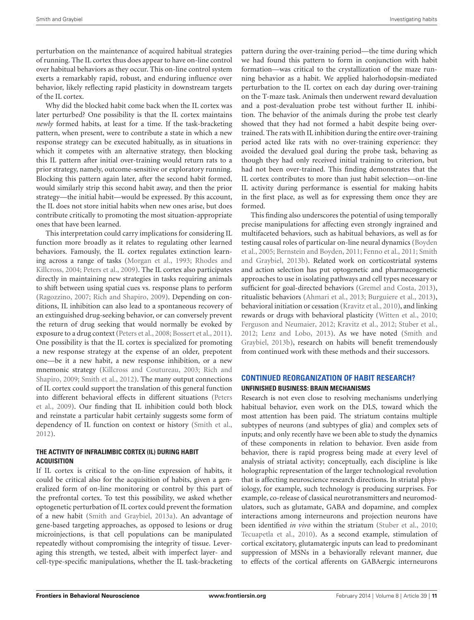perturbation on the maintenance of acquired habitual strategies of running. The IL cortex thus does appear to have on-line control over habitual behaviors as they occur. This on-line control system exerts a remarkably rapid, robust, and enduring influence over behavior, likely reflecting rapid plasticity in downstream targets of the IL cortex.

Why did the blocked habit come back when the IL cortex was later perturbed? One possibility is that the IL cortex maintains *newly* formed habits, at least for a time. If the task-bracketing pattern, when present, were to contribute a state in which a new response strategy can be executed habitually, as in situations in which it competes with an alternative strategy, then blocking this IL pattern after initial over-training would return rats to a prior strategy, namely, outcome-sensitive or exploratory running. Blocking this pattern again later, after the second habit formed, would similarly strip this second habit away, and then the prior strategy—the initial habit—would be expressed. By this account, the IL does not store initial habits when new ones arise, but does contribute critically to promoting the most situation-appropriate ones that have been learned.

This interpretation could carry implications for considering IL function more broadly as it relates to regulating other learned behaviors. Famously, the IL cortex regulates extinction learning across a range of tasks [\(Morgan et al.,](#page-16-35) [1993;](#page-16-35) [Rhodes and](#page-16-36) [Killcross,](#page-16-36) [2004;](#page-16-36) [Peters et al.,](#page-16-37) [2009\)](#page-16-37). The IL cortex also participates directly in maintaining new strategies in tasks requiring animals to shift between using spatial cues vs. response plans to perform [\(Ragozzino,](#page-16-20) [2007;](#page-16-20) [Rich and Shapiro,](#page-16-38) [2009\)](#page-16-38). Depending on conditions, IL inhibition can also lead to a spontaneous recovery of an extinguished drug-seeking behavior, or can conversely prevent the return of drug seeking that would normally be evoked by exposure to a drug context [\(Peters et al.,](#page-16-39) [2008;](#page-16-39) [Bossert et al.,](#page-14-39) [2011\)](#page-14-39). One possibility is that the IL cortex is specialized for promoting a new response strategy at the expense of an older, prepotent one—be it a new habit, a new response inhibition, or a new mnemonic strategy [\(Killcross and Coutureau,](#page-15-6) [2003;](#page-15-6) [Rich and](#page-16-38) [Shapiro,](#page-16-38) [2009;](#page-16-38) [Smith et al.,](#page-16-7) [2012\)](#page-16-7). The many output connections of IL cortex could support the translation of this general function into different behavioral effects in different situations [\(Peters](#page-16-37) [et al.,](#page-16-37) [2009\)](#page-16-37). Our finding that IL inhibition could both block and reinstate a particular habit certainly suggests some form of dependency of IL function on context or history [\(Smith et al.,](#page-16-7) [2012\)](#page-16-7).

# **THE ACTIVITY OF INFRALIMBIC CORTEX (IL) DURING HABIT ACQUISITION**

If IL cortex is critical to the on-line expression of habits, it could be critical also for the acquisition of habits, given a generalized form of on-line monitoring or control by this part of the prefrontal cortex. To test this possibility, we asked whether optogenetic perturbation of IL cortex could prevent the formation of a new habit [\(Smith and Graybiel,](#page-16-8) [2013a\)](#page-16-8). An advantage of gene-based targeting approaches, as opposed to lesions or drug microinjections, is that cell populations can be manipulated repeatedly without compromising the integrity of tissue. Leveraging this strength, we tested, albeit with imperfect layer- and cell-type-specific manipulations, whether the IL task-bracketing pattern during the over-training period—the time during which we had found this pattern to form in conjunction with habit formation—was critical to the crystallization of the maze running behavior as a habit. We applied halorhodopsin-mediated perturbation to the IL cortex on each day during over-training on the T-maze task. Animals then underwent reward devaluation and a post-devaluation probe test without further IL inhibition. The behavior of the animals during the probe test clearly showed that they had not formed a habit despite being overtrained. The rats with IL inhibition during the entire over-training period acted like rats with no over-training experience: they avoided the devalued goal during the probe task, behaving as though they had only received initial training to criterion, but had not been over-trained. This finding demonstrates that the IL cortex contributes to more than just habit selection—on-line IL activity during performance is essential for making habits in the first place, as well as for expressing them once they are formed.

This finding also underscores the potential of using temporally precise manipulations for affecting even strongly ingrained and multifaceted behaviors, such as habitual behaviors, as well as for testing causal roles of particular on-line neural dynamics [\(Boyden](#page-14-37) [et al.,](#page-14-37) [2005;](#page-14-37) [Bernstein and Boyden,](#page-14-38) [2011;](#page-14-38) [Fenno et al.,](#page-15-36) [2011;](#page-15-36) [Smith](#page-16-33) [and Graybiel,](#page-16-33) [2013b\)](#page-16-33). Related work on corticostriatal systems and action selection has put optogenetic and pharmacogenetic approaches to use in isolating pathways and cell types necessary or sufficient for goal-directed behaviors [\(Gremel and Costa,](#page-15-13) [2013\)](#page-15-13), ritualistic behaviors [\(Ahmari et al.,](#page-13-4) [2013;](#page-13-4) [Burguiere et al.,](#page-14-40) [2013\)](#page-14-40), behavioral initiation or cessation [\(Kravitz et al.,](#page-15-37) [2010\)](#page-15-37), and linking rewards or drugs with behavioral plasticity [\(Witten et al.,](#page-17-25) [2010;](#page-17-25) [Ferguson and Neumaier,](#page-15-38) [2012;](#page-15-38) [Kravitz et al.,](#page-15-39) [2012;](#page-15-39) [Stuber et al.,](#page-16-40) [2012;](#page-16-40) [Lenz and Lobo,](#page-15-40) [2013\)](#page-15-40). As we have noted [\(Smith and](#page-16-33) [Graybiel,](#page-16-33) [2013b\)](#page-16-33), research on habits will benefit tremendously from continued work with these methods and their successors.

# **CONTINUED REORGANIZATION OF HABIT RESEARCH? UNFINISHED BUSINESS: BRAIN MECHANISMS**

Research is not even close to resolving mechanisms underlying habitual behavior, even work on the DLS, toward which the most attention has been paid. The striatum contains multiple subtypes of neurons (and subtypes of glia) and complex sets of inputs; and only recently have we been able to study the dynamics of these components in relation to behavior. Even aside from behavior, there is rapid progress being made at every level of analysis of striatal activity; conceptually, each discipline is like holographic representation of the larger technological revolution that is affecting neuroscience research directions. In striatal physiology, for example, such technology is producing surprises. For example, co-release of classical neurotransmitters and neuromodulators, such as glutamate, GABA and dopamine, and complex interactions among interneurons and projection neurons have been identified *in vivo* within the striatum [\(Stuber et al.,](#page-16-41) [2010;](#page-16-41) [Tecuapetla et al.,](#page-16-42) [2010\)](#page-16-42). As a second example, stimulation of cortical excitatory, glutamatergic inputs can lead to predominant suppression of MSNs in a behaviorally relevant manner, due to effects of the cortical afferents on GABAergic interneurons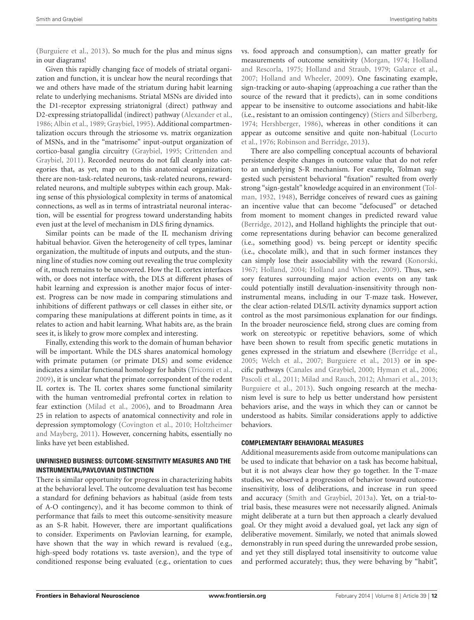[\(Burguiere et al.,](#page-14-40) [2013\)](#page-14-40). So much for the plus and minus signs in our diagrams!

Given this rapidly changing face of models of striatal organization and function, it is unclear how the neural recordings that we and others have made of the striatum during habit learning relate to underlying mechanisms. Striatal MSNs are divided into the D1-receptor expressing striatonigral (direct) pathway and D2-expressing striatopallidal (indirect) pathway [\(Alexander et al.,](#page-13-5) [1986;](#page-13-5) [Albin et al.,](#page-13-6) [1989;](#page-13-6) [Graybiel,](#page-15-41) [1995\)](#page-15-41). Additional compartmentalization occurs through the striosome vs. matrix organization of MSNs, and in the "matrisome" input-output organization of cortico-basal ganglia circuitry [\(Graybiel,](#page-15-41) [1995;](#page-15-41) [Crittenden and](#page-14-41) [Graybiel,](#page-14-41) [2011\)](#page-14-41). Recorded neurons do not fall cleanly into categories that, as yet, map on to this anatomical organization; there are non-task-related neurons, task-related neurons, rewardrelated neurons, and multiple subtypes within each group. Making sense of this physiological complexity in terms of anatomical connections, as well as in terms of intrastriatal neuronal interaction, will be essential for progress toward understanding habits even just at the level of mechanism in DLS firing dynamics.

Similar points can be made of the IL mechanism driving habitual behavior. Given the heterogeneity of cell types, laminar organization, the multitude of inputs and outputs, and the stunning line of studies now coming out revealing the true complexity of it, much remains to be uncovered. How the IL cortex interfaces with, or does not interface with, the DLS at different phases of habit learning and expression is another major focus of interest. Progress can be now made in comparing stimulations and inhibitions of different pathways or cell classes in either site, or comparing these manipulations at different points in time, as it relates to action and habit learning. What habits are, as the brain sees it, is likely to grow more complex and interesting.

Finally, extending this work to the domain of human behavior will be important. While the DLS shares anatomical homology with primate putamen (or primate DLS) and some evidence indicates a similar functional homology for habits [\(Tricomi et al.,](#page-17-6) [2009\)](#page-17-6), it is unclear what the primate correspondent of the rodent IL cortex is. The IL cortex shares some functional similarity with the human ventromedial prefrontal cortex in relation to fear extinction [\(Milad et al.,](#page-16-43) [2006\)](#page-16-43), and to Broadmann Area 25 in relation to aspects of anatomical connectivity and role in depression symptomology [\(Covington et al.,](#page-14-42) [2010;](#page-14-42) [Holtzheimer](#page-15-42) [and Mayberg,](#page-15-42) [2011\)](#page-15-42). However, concerning habits, essentially no links have yet been established.

## **UNFINISHED BUSINESS: OUTCOME-SENSITIVITY MEASURES AND THE INSTRUMENTAL/PAVLOVIAN DISTINCTION**

There is similar opportunity for progress in characterizing habits at the behavioral level. The outcome devaluation test has become a standard for defining behaviors as habitual (aside from tests of A-O contingency), and it has become common to think of performance that fails to meet this outcome-sensitivity measure as an S-R habit. However, there are important qualifications to consider. Experiments on Pavlovian learning, for example, have shown that the way in which reward is revalued (e.g., high-speed body rotations vs. taste aversion), and the type of conditioned response being evaluated (e.g., orientation to cues

vs. food approach and consumption), can matter greatly for measurements of outcome sensitivity [\(Morgan,](#page-16-28) [1974;](#page-16-28) [Holland](#page-15-7) [and Rescorla,](#page-15-7) [1975;](#page-15-7) [Holland and Straub,](#page-15-32) [1979;](#page-15-32) [Galarce et al.,](#page-15-43) [2007;](#page-15-43) [Holland and Wheeler,](#page-15-44) [2009\)](#page-15-44). One fascinating example, sign-tracking or auto-shaping (approaching a cue rather than the source of the reward that it predicts), can in some conditions appear to be insensitive to outcome associations and habit-like (i.e., resistant to an omission contingency) [\(Stiers and Silberberg,](#page-16-6) [1974;](#page-16-6) [Hershberger,](#page-15-8) [1986\)](#page-15-8), whereas in other conditions it can appear as outcome sensitive and quite non-habitual [\(Locurto](#page-15-45) [et al.,](#page-15-45) [1976;](#page-15-45) [Robinson and Berridge,](#page-16-44) [2013\)](#page-16-44).

There are also compelling conceptual accounts of behavioral persistence despite changes in outcome value that do not refer to an underlying S-R mechanism. For example, Tolman suggested such persistent behavioral "fixation" resulted from overly strong "sign-gestalt" knowledge acquired in an environment [\(Tol](#page-17-3)[man,](#page-17-3) [1932,](#page-17-3) [1948\)](#page-17-20), Berridge conceives of reward cues as gaining an incentive value that can become "defocused" or detached from moment to moment changes in predicted reward value [\(Berridge,](#page-14-43) [2012\)](#page-14-43), and Holland highlights the principle that outcome representations during behavior can become generalized (i.e., something good) vs. being percept or identity specific (i.e., chocolate milk), and that in such former instances they can simply lose their associability with the reward [\(Konorski,](#page-15-46) [1967;](#page-15-46) [Holland,](#page-15-47) [2004;](#page-15-47) [Holland and Wheeler,](#page-15-44) [2009\)](#page-15-44). Thus, sensory features surrounding major action events on any task could potentially instill devaluation-insensitivity through noninstrumental means, including in our T-maze task. However, the clear action-related DLS/IL activity dynamics support action control as the most parsimonious explanation for our findings. In the broader neuroscience field, strong clues are coming from work on stereotypic or repetitive behaviors, some of which have been shown to result from specific genetic mutations in genes expressed in the striatum and elsewhere [\(Berridge et al.,](#page-14-44) [2005;](#page-14-44) [Welch et al.,](#page-17-26) [2007;](#page-17-26) [Burguiere et al.,](#page-14-40) [2013\)](#page-14-40) or in specific pathways [\(Canales and Graybiel,](#page-14-45) [2000;](#page-14-45) [Hyman et al.,](#page-15-48) [2006;](#page-15-48) [Pascoli et al.,](#page-16-45) [2011;](#page-16-45) [Milad and Rauch,](#page-16-46) [2012;](#page-16-46) [Ahmari et al.,](#page-13-4) [2013;](#page-13-4) [Burguiere et al.,](#page-14-40) [2013\)](#page-14-40). Such ongoing research at the mechanism level is sure to help us better understand how persistent behaviors arise, and the ways in which they can or cannot be understood as habits. Similar considerations apply to addictive behaviors.

# **COMPLEMENTARY BEHAVIORAL MEASURES**

Additional measurements aside from outcome manipulations can be used to indicate that behavior on a task has become habitual, but it is not always clear how they go together. In the T-maze studies, we observed a progression of behavior toward outcomeinsensitivity, loss of deliberations, and increase in run speed and accuracy [\(Smith and Graybiel,](#page-16-8) [2013a\)](#page-16-8). Yet, on a trial-totrial basis, these measures were not necessarily aligned. Animals might deliberate at a turn but then approach a clearly devalued goal. Or they might avoid a devalued goal, yet lack any sign of deliberative movement. Similarly, we noted that animals slowed demonstrably in run speed during the unrewarded probe session, and yet they still displayed total insensitivity to outcome value and performed accurately; thus, they were behaving by "habit",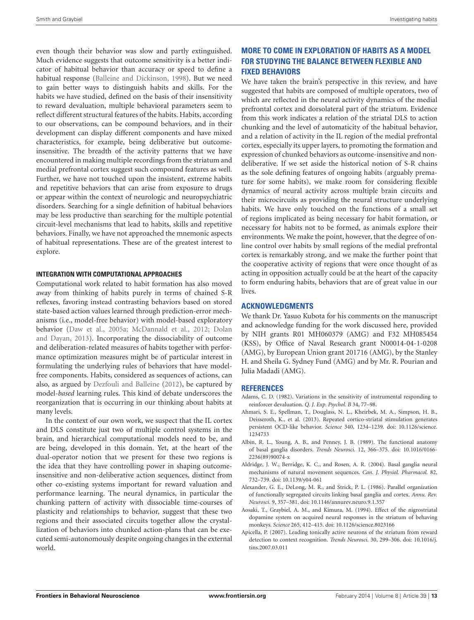even though their behavior was slow and partly extinguished. Much evidence suggests that outcome sensitivity is a better indicator of habitual behavior than accuracy or speed to define a habitual response [\(Balleine and Dickinson,](#page-14-11) [1998\)](#page-14-11). But we need to gain better ways to distinguish habits and skills. For the habits we have studied, defined on the basis of their insensitivity to reward devaluation, multiple behavioral parameters seem to reflect different structural features of the habits. Habits, according to our observations, can be compound behaviors, and in their development can display different components and have mixed characteristics, for example, being deliberative but outcomeinsensitive. The breadth of the activity patterns that we have encountered in making multiple recordings from the striatum and medial prefrontal cortex suggest such compound features as well. Further, we have not touched upon the insistent, extreme habits and repetitive behaviors that can arise from exposure to drugs or appear within the context of neurologic and neuropsychiatric disorders. Searching for a single definition of habitual behaviors may be less productive than searching for the multiple potential circuit-level mechanisms that lead to habits, skills and repetitive behaviors. Finally, we have not approached the mnemonic aspects of habitual representations. These are of the greatest interest to explore.

### **INTEGRATION WITH COMPUTATIONAL APPROACHES**

Computational work related to habit formation has also moved away from thinking of habits purely in terms of chained S-R reflexes, favoring instead contrasting behaviors based on stored state-based action values learned through prediction-error mechanisms (i.e., model-free behavior) with model-based exploratory behavior [\(Daw et al.,](#page-14-4) [2005a;](#page-14-4) [McDannald et al.,](#page-16-13) [2012;](#page-16-13) [Dolan](#page-14-8) [and Dayan,](#page-14-8) [2013\)](#page-14-8). Incorporating the dissociability of outcome and deliberation-related measures of habits together with performance optimization measures might be of particular interest in formulating the underlying rules of behaviors that have modelfree components. Habits, considered as sequences of actions, can also, as argued by [Dezfouli and Balleine](#page-14-35) [\(2012\)](#page-14-35), be captured by model-*based* learning rules. This kind of debate underscores the reorganization that is occurring in our thinking about habits at many levels.

In the context of our own work, we suspect that the IL cortex and DLS constitute just two of multiple control systems in the brain, and hierarchical computational models need to be, and are being, developed in this domain. Yet, at the heart of the dual-operator notion that we present for these two regions is the idea that they have controlling power in shaping outcomeinsensitive and non-deliberative action sequences, distinct from other co-existing systems important for reward valuation and performance learning. The neural dynamics, in particular the chunking pattern of activity with dissociable time-courses of plasticity and relationships to behavior, suggest that these two regions and their associated circuits together allow the crystallization of behaviors into chunked action-plans that can be executed semi-autonomously despite ongoing changes in the external world.

# **MORE TO COME IN EXPLORATION OF HABITS AS A MODEL FOR STUDYING THE BALANCE BETWEEN FLEXIBLE AND FIXED BEHAVIORS**

We have taken the brain's perspective in this review, and have suggested that habits are composed of multiple operators, two of which are reflected in the neural activity dynamics of the medial prefrontal cortex and dorsolateral part of the striatum. Evidence from this work indicates a relation of the striatal DLS to action chunking and the level of automaticity of the habitual behavior, and a relation of activity in the IL region of the medial prefrontal cortex, especially its upper layers, to promoting the formation and expression of chunked behaviors as outcome-insensitive and nondeliberative. If we set aside the historical notion of S-R chains as the sole defining features of ongoing habits (arguably premature for some habits), we make room for considering flexible dynamics of neural activity across multiple brain circuits and their microcircuits as providing the neural structure underlying habits. We have only touched on the functions of a small set of regions implicated as being necessary for habit formation, or necessary for habits not to be formed, as animals explore their environments. We make the point, however, that the degree of online control over habits by small regions of the medial prefrontal cortex is remarkably strong, and we make the further point that the cooperative activity of regions that were once thought of as acting in opposition actually could be at the heart of the capacity to form enduring habits, behaviors that are of great value in our lives.

## **ACKNOWLEDGMENTS**

We thank Dr. Yasuo Kubota for his comments on the manuscript and acknowledge funding for the work discussed here, provided by NIH grants R01 MH060379 (AMG) and F32 MH085454 (KSS), by Office of Naval Research grant N00014-04-1-0208 (AMG), by European Union grant 201716 (AMG), by the Stanley H. and Sheila G. Sydney Fund (AMG) and by Mr. R. Pourian and Julia Madadi (AMG).

### **REFERENCES**

- <span id="page-13-0"></span>Adams, C. D. (1982). Variations in the sensitivity of instrumental responding to reinforcer devaluation. *Q. J. Exp. Psychol. B* 34, 77–98.
- <span id="page-13-4"></span>Ahmari, S. E., Spellman, T., Douglass, N. L., Kheirbek, M. A., Simpson, H. B., Deisseroth, K., et al. (2013). Repeated cortico-striatal stimulation generates persistent OCD-like behavior. *Science* 340, 1234–1239. doi: 10.1126/science. 1234733
- <span id="page-13-6"></span>Albin, R. L., Young, A. B., and Penney, J. B. (1989). The functional anatomy of basal ganglia disorders. *Trends Neurosci.* 12, 366–375. doi: 10.1016/0166- 2236(89)90074-x
- <span id="page-13-1"></span>Aldridge, J. W., Berridge, K. C., and Rosen, A. R. (2004). Basal ganglia neural mechanisms of natural movement sequences. *Can. J. Physiol. Pharmacol.* 82, 732–739. doi: 10.1139/y04-061
- <span id="page-13-5"></span>Alexander, G. E., DeLong, M. R., and Strick, P. L. (1986). Parallel organization of functionally segregated circuits linking basal ganglia and cortex. *Annu. Rev. Neurosci.* 9, 357–381. doi: 10.1146/annurev.neuro.9.1.357
- <span id="page-13-2"></span>Aosaki, T., Graybiel, A. M., and Kimura, M. (1994). Effect of the nigrostriatal dopamine system on acquired neural responses in the striatum of behaving monkeys. *Science* 265, 412–415. doi: 10.1126/science.8023166
- <span id="page-13-3"></span>Apicella, P. (2007). Leading tonically active neurons of the striatum from reward detection to context recognition. *Trends Neurosci.* 30, 299–306. doi: 10.1016/j. tins.2007.03.011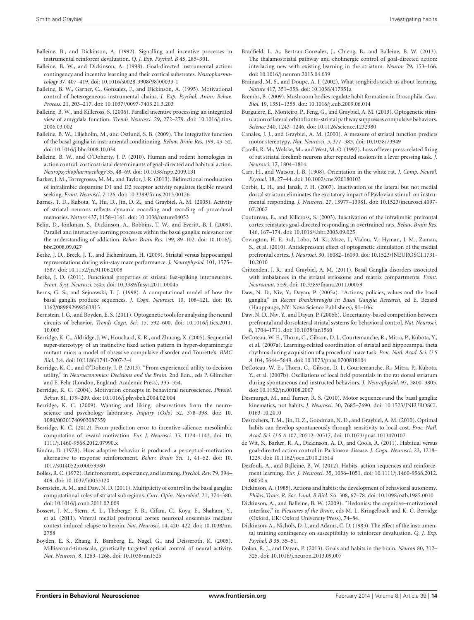- <span id="page-14-15"></span>Balleine, B., and Dickinson, A. (1992). Signalling and incentive processes in instrumental reinforcer devaluation. *Q. J. Exp. Psychol. B* 45, 285–301.
- <span id="page-14-11"></span>Balleine, B. W., and Dickinson, A. (1998). Goal-directed instrumental action: contingency and incentive learning and their cortical substrates. *Neuropharmacology* 37, 407–419. doi: 10.1016/s0028-3908(98)00033-1
- <span id="page-14-30"></span>Balleine, B. W., Garner, C., Gonzalez, F., and Dickinson, A. (1995). Motivational control of heterogeneous instrumental chains. *J. Exp. Psychol. Anim. Behav. Process.* 21, 203–217. doi: 10.1037//0097-7403.21.3.203
- <span id="page-14-36"></span>Balleine, B. W., and Killcross, S. (2006). Parallel incentive processing: an integrated view of amygdala function. *Trends Neurosci.* 29, 272–279. doi: 10.1016/j.tins. 2006.03.002
- <span id="page-14-9"></span>Balleine, B. W., Liljeholm, M., and Ostlund, S. B. (2009). The integrative function of the basal ganglia in instrumental conditioning. *Behav. Brain Res.* 199, 43–52. doi: 10.1016/j.bbr.2008.10.034
- <span id="page-14-6"></span>Balleine, B. W., and O'Doherty, J. P. (2010). Human and rodent homologies in action control: corticostriatal determinants of goal-directed and habitual action. *Neuropsychopharmacology* 35, 48–69. doi: 10.1038/npp.2009.131
- <span id="page-14-17"></span>Barker, J. M., Torregrossa, M. M., and Taylor, J. R. (2013). Bidirectional modulation of infralimbic dopamine D1 and D2 receptor activity regulates flexible reward seeking. *Front. Neurosci.* 7:126. doi: 10.3389/fnins.2013.00126
- <span id="page-14-23"></span>Barnes, T. D., Kubota, Y., Hu, D., Jin, D. Z., and Graybiel, A. M. (2005). Activity of striatal neurons reflects dynamic encoding and recoding of procedural memories. *Nature* 437, 1158–1161. doi: 10.1038/nature04053
- <span id="page-14-5"></span>Belin, D., Jonkman, S., Dickinson, A., Robbins, T. W., and Everitt, B. J. (2009). Parallel and interactive learning processes within the basal ganglia: relevance for the understanding of addiction. *Behav. Brain Res.* 199, 89–102. doi: 10.1016/j. bbr.2008.09.027
- <span id="page-14-28"></span>Berke, J. D., Breck, J. T., and Eichenbaum, H. (2009). Striatal versus hippocampal representations during win-stay maze performance. *J. Neurophysiol.* 101, 1575– 1587. doi: 10.1152/jn.91106.2008
- <span id="page-14-24"></span>Berke, J. D. (2011). Functional properties of striatal fast-spiking interneurons. *Front. Syst. Neurosci.* 5:45. doi: 10.3389/fnsys.2011.00045
- <span id="page-14-20"></span>Berns, G. S., and Sejnowski, T. J. (1998). A computational model of how the basal ganglia produce sequences. *J. Cogn. Neurosci.* 10, 108–121. doi: 10. 1162/089892998563815
- <span id="page-14-38"></span>Bernstein, J. G., and Boyden, E. S. (2011). Optogenetic tools for analyzing the neural circuits of behavior. *Trends Cogn. Sci.* 15, 592–600. doi: 10.1016/j.tics.2011. 10.003
- <span id="page-14-44"></span>Berridge, K. C., Aldridge, J. W., Houchard, K. R., and Zhuang, X. (2005). Sequential super-stereotypy of an instinctive fixed action pattern in hyper-dopaminergic mutant mice: a model of obsessive compulsive disorder and Tourette's. *BMC Biol.* 3:4. doi: 10.1186/1741-7007-3-4
- <span id="page-14-7"></span>Berridge, K. C., and O'Doherty, J. P. (2013). "From experienced utility to decision utility," in *Neuroeconomics: Decisions and the Brain.* 2nd Edn., eds P. Glimcher and E. Fehr (London, England: Academic Press), 335–354.
- <span id="page-14-2"></span>Berridge, K. C. (2004). Motivation concepts in behavioral neuroscience. *Physiol. Behav.* 81, 179–209. doi: 10.1016/j.physbeh.2004.02.004
- <span id="page-14-32"></span>Berridge, K. C. (2009). Wanting and liking: observations from the neuroscience and psychology laboratory. *Inquiry (Oslo)* 52, 378–398. doi: 10. 1080/00201740903087359
- <span id="page-14-43"></span>Berridge, K. C. (2012). From prediction error to incentive salience: mesolimbic computation of reward motivation. *Eur. J. Neurosci.* 35, 1124–1143. doi: 10. 1111/j.1460-9568.2012.07990.x
- <span id="page-14-1"></span>Bindra, D. (1978). How adaptive behavior is produced: a perceptual-motivation alternative to response reinforcement. *Behav. Brain Sci.* 1, 41–52. doi: 10. 1017/s0140525x00059380
- <span id="page-14-0"></span>Bolles, R. C. (1972). Reinforcement, expectancy, and learning. *Psychol. Rev.* 79, 394– 409. doi: 10.1037/h0033120
- <span id="page-14-18"></span>Bornstein, A. M., and Daw, N. D. (2011). Multiplicity of control in the basal ganglia: computational roles of striatal subregions. *Curr. Opin. Neurobiol.* 21, 374–380. doi: 10.1016/j.conb.2011.02.009
- <span id="page-14-39"></span>Bossert, J. M., Stern, A. L., Theberge, F. R., Cifani, C., Koya, E., Shaham, Y., et al. (2011). Ventral medial prefrontal cortex neuronal ensembles mediate context-induced relapse to heroin. *Nat. Neurosci.* 14, 420–422. doi: 10.1038/nn. 2758
- <span id="page-14-37"></span>Boyden, E. S., Zhang, F., Bamberg, E., Nagel, G., and Deisseroth, K. (2005). Millisecond-timescale, genetically targeted optical control of neural activity. *Nat. Neurosci.* 8, 1263–1268. doi: 10.1038/nn1525
- <span id="page-14-25"></span>Bradfield, L. A., Bertran-Gonzalez, J., Chieng, B., and Balleine, B. W. (2013). The thalamostriatal pathway and cholinergic control of goal-directed action: interlacing new with existing learning in the striatum. *Neuron* 79, 153–166. doi: 10.1016/j.neuron.2013.04.039
- <span id="page-14-21"></span>Brainard, M. S., and Doupe, A. J. (2002). What songbirds teach us about learning. *Nature* 417, 351–358. doi: 10.1038/417351a
- <span id="page-14-10"></span>Brembs, B. (2009). Mushroom bodies regulate habit formation in Drosophila. *Curr. Biol.* 19, 1351–1355. doi: 10.1016/j.cub.2009.06.014
- <span id="page-14-40"></span>Burguiere, E., Monteiro, P., Feng, G., and Graybiel, A. M. (2013). Optogenetic stimulation of lateral orbitofronto-striatal pathway suppresses compulsive behaviors. *Science* 340, 1243–1246. doi: 10.1126/science.1232380
- <span id="page-14-45"></span>Canales, J. J., and Graybiel, A. M. (2000). A measure of striatal function predicts motor stereotypy. *Nat. Neurosci.* 3, 377–383. doi: 10.1038/73949
- <span id="page-14-22"></span>Carelli, R. M., Wolske, M., and West, M. O. (1997). Loss of lever press-related firing of rat striatal forelimb neurons after repeated sessions in a lever pressing task. *J. Neurosci.* 17, 1804–1814.
- <span id="page-14-31"></span>Carr, H., and Watson, J. B. (1908). Orientation in the white rat. *J. Comp. Neurol. Psychol.* 18, 27–44. doi: 10.1002/cne.920180103
- <span id="page-14-33"></span>Corbit, L. H., and Janak, P. H. (2007). Inactivation of the lateral but not medial dorsal striatum eliminates the excitatory impact of Pavlovian stimuli on instrumental responding. *J. Neurosci.* 27, 13977–13981. doi: 10.1523/jneurosci.4097- 07.2007
- <span id="page-14-16"></span>Coutureau, E., and Killcross, S. (2003). Inactivation of the infralimbic prefrontal cortex reinstates goal-directed responding in overtrained rats. *Behav. Brain Res.* 146, 167–174. doi: 10.1016/j.bbr.2003.09.025
- <span id="page-14-42"></span>Covington, H. E. 3rd, Lobo, M. K., Maze, I., Vialou, V., Hyman, J. M., Zaman, S., et al. (2010). Antidepressant effect of optogenetic stimulation of the medial prefrontal cortex. *J. Neurosci.* 30, 16082–16090. doi: 10.1523/JNEUROSCI.1731- 10.2010
- <span id="page-14-41"></span>Crittenden, J. R., and Graybiel, A. M. (2011). Basal Ganglia disorders associated with imbalances in the striatal striosome and matrix compartments. *Front. Neuroanat.* 5:59. doi: 10.3389/fnana.2011.00059
- <span id="page-14-4"></span>Daw, N. D., Niv, Y., Dayan, P. (2005a). "Actions, policies, values and the basal ganglia," in *Recent Breakthroughs in Basal Ganglia Research*, ed E. Bezard (Hauppauge, NY: Nova Science Publishers), 91–106.
- <span id="page-14-12"></span>Daw, N. D., Niv, Y., and Dayan, P. (2005b). Uncertainty-based competition between prefrontal and dorsolateral striatal systems for behavioral control. *Nat. Neurosci.* 8, 1704–1711. doi: 10.1038/nn1560
- <span id="page-14-26"></span>DeCoteau, W. E., Thorn, C., Gibson, D. J., Courtemanche, R., Mitra, P., Kubota, Y., et al. (2007a). Learning-related coordination of striatal and hippocampal theta rhythms during acquisition of a procedural maze task. *Proc. Natl. Acad. Sci. U S A* 104, 5644–5649. doi: 10.1073/pnas.0700818104
- <span id="page-14-27"></span>DeCoteau, W. E., Thorn, C., Gibson, D. J., Courtemanche, R., Mitra, P., Kubota, Y., et al. (2007b). Oscillations of local field potentials in the rat dorsal striatum during spontaneous and instructed behaviors. *J. Neurophysiol.* 97, 3800–3805. doi: 10.1152/jn.00108.2007
- <span id="page-14-34"></span>Desmurget, M., and Turner, R. S. (2010). Motor sequences and the basal ganglia: kinematics, not habits. *J. Neurosci.* 30, 7685–7690. doi: 10.1523/JNEUROSCI. 0163-10.2010
- <span id="page-14-19"></span>Desrochers, T. M., Jin, D. Z., Goodman, N. D., and Graybiel, A. M. (2010). Optimal habits can develop spontaneously through sensitivity to local cost. *Proc. Natl. Acad. Sci. U S A* 107, 20512–20517. doi: 10.1073/pnas.1013470107
- <span id="page-14-29"></span>de Wit, S., Barker, R. A., Dickinson, A. D., and Cools, R. (2011). Habitual versus goal-directed action control in Parkinson disease. *J. Cogn. Neurosci.* 23, 1218– 1229. doi: 10.1162/jocn.2010.21514
- <span id="page-14-35"></span>Dezfouli, A., and Balleine, B. W. (2012). Habits, action sequences and reinforcement learning. *Eur. J. Neurosci.* 35, 1036–1051. doi: 10.1111/j.1460-9568.2012. 08050.x
- <span id="page-14-3"></span>Dickinson, A. (1985). Actions and habits: the development of behavioral autonomy. *Philos. Trans. R. Soc. Lond. B Biol. Sci.* 308, 67–78. doi: 10.1098/rstb.1985.0010
- <span id="page-14-13"></span>Dickinson, A., and Balleine, B. W. (2009). "Hedonics: the cognitive–motivational interface," in *Pleasures of the Brain*, eds M. L. Kringelbach and K. C. Berridge (Oxford, UK: Oxford University Press), 74–84.
- <span id="page-14-14"></span>Dickinson, A., Nichols, D. J., and Adams, C. D. (1983). The effect of the instrumental training contingency on susceptibility to reinforcer devaluation. *Q. J. Exp. Psychol. B* 35, 35–51.
- <span id="page-14-8"></span>Dolan, R. J., and Dayan, P. (2013). Goals and habits in the brain. *Neuron* 80, 312– 325. doi: 10.1016/j.neuron.2013.09.007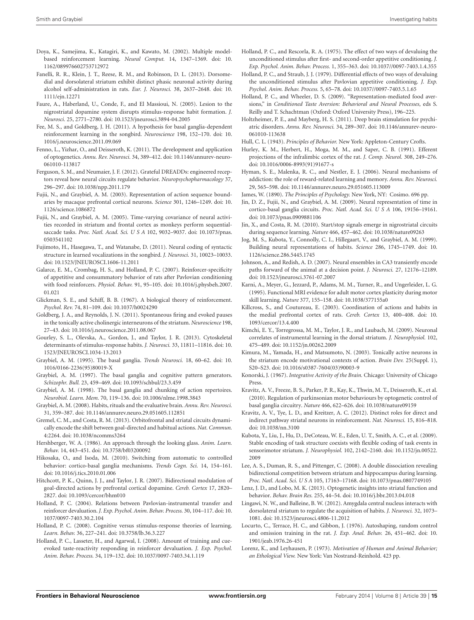- <span id="page-15-15"></span>Doya, K., Samejima, K., Katagiri, K., and Kawato, M. (2002). Multiple modelbased reinforcement learning. *Neural Comput.* 14, 1347–1369. doi: 10. 1162/089976602753712972
- <span id="page-15-30"></span>Fanelli, R. R., Klein, J. T., Reese, R. M., and Robinson, D. L. (2013). Dorsomedial and dorsolateral striatum exhibit distinct phasic neuronal activity during alcohol self-administration in rats. *Eur. J. Neurosci.* 38, 2637–2648. doi: 10. 1111/ejn.12271
- <span id="page-15-9"></span>Faure, A., Haberland, U., Conde, F., and El Massioui, N. (2005). Lesion to the nigrostriatal dopamine system disrupts stimulus-response habit formation. *J. Neurosci.* 25, 2771–2780. doi: 10.1523/jneurosci.3894-04.2005
- <span id="page-15-20"></span>Fee, M. S., and Goldberg, J. H. (2011). A hypothesis for basal ganglia-dependent reinforcement learning in the songbird. *Neuroscience* 198, 152–170. doi: 10. 1016/j.neuroscience.2011.09.069
- <span id="page-15-36"></span>Fenno, L., Yizhar, O., and Deisseroth, K. (2011). The development and application of optogenetics. *Annu. Rev. Neurosci.* 34, 389–412. doi: 10.1146/annurev-neuro-061010-113817
- <span id="page-15-38"></span>Ferguson, S. M., and Neumaier, J. F. (2012). Grateful DREADDs: engineered receptors reveal how neural circuits regulate behavior. *Neuropsychopharmacology* 37, 296–297. doi: 10.1038/npp.2011.179
- <span id="page-15-17"></span>Fujii, N., and Graybiel, A. M. (2003). Representation of action sequence boundaries by macaque prefrontal cortical neurons. *Science* 301, 1246–1249. doi: 10. 1126/science.1086872
- <span id="page-15-18"></span>Fujii, N., and Graybiel, A. M. (2005). Time-varying covariance of neural activities recorded in striatum and frontal cortex as monkeys perform sequentialsaccade tasks. *Proc. Natl. Acad. Sci. U S A* 102, 9032–9037. doi: 10.1073/pnas. 0503541102
- <span id="page-15-24"></span>Fujimoto, H., Hasegawa, T., and Watanabe, D. (2011). Neural coding of syntactic structure in learned vocalizations in the songbird. *J. Neurosci.* 31, 10023–10033. doi: 10.1523/JNEUROSCI.1606-11.2011
- <span id="page-15-43"></span>Galarce, E. M., Crombag, H. S., and Holland, P. C. (2007). Reinforcer-specificity of appetitive and consummatory behavior of rats after Pavlovian conditioning with food reinforcers. *Physiol. Behav.* 91, 95–105. doi: 10.1016/j.physbeh.2007. 01.021
- <span id="page-15-34"></span>Glickman, S. E., and Schiff, B. B. (1967). A biological theory of reinforcement. *Psychol. Rev.* 74, 81–109. doi: 10.1037/h0024290
- <span id="page-15-28"></span>Goldberg, J. A., and Reynolds, J. N. (2011). Spontaneous firing and evoked pauses in the tonically active cholinergic interneurons of the striatum. *Neuroscience* 198, 27–43. doi: 10.1016/j.neuroscience.2011.08.067
- <span id="page-15-12"></span>Gourley, S. L., Olevska, A., Gordon, J., and Taylor, J. R. (2013). Cytoskeletal determinants of stimulus-response habits. *J. Neurosci.* 33, 11811–11816. doi: 10. 1523/JNEUROSCI.1034-13.2013
- <span id="page-15-41"></span>Graybiel, A. M. (1995). The basal ganglia. *Trends Neurosci.* 18, 60–62. doi: 10. 1016/0166-2236(95)80019-X
- <span id="page-15-4"></span>Graybiel, A. M. (1997). The basal ganglia and cognitive pattern generators. *Schizophr. Bull.* 23, 459–469. doi: 10.1093/schbul/23.3.459
- <span id="page-15-23"></span>Graybiel, A. M. (1998). The basal ganglia and chunking of action repertoires. *Neurobiol. Learn. Mem.* 70, 119–136. doi: 10.1006/nlme.1998.3843
- <span id="page-15-5"></span>Graybiel, A. M. (2008). Habits, rituals and the evaluative brain. *Annu. Rev. Neurosci.* 31, 359–387. doi: 10.1146/annurev.neuro.29.051605.112851
- <span id="page-15-13"></span>Gremel, C. M., and Costa, R. M. (2013). Orbitofrontal and striatal circuits dynamically encode the shift between goal-directed and habitual actions. *Nat. Commun.* 4:2264. doi: 10.1038/ncomms3264
- <span id="page-15-8"></span>Hershberger, W. A. (1986). An approach through the looking glass. *Anim. Learn. Behav.* 14, 443–451. doi: 10.3758/bf03200092
- <span id="page-15-16"></span>Hikosaka, O., and Isoda, M. (2010). Switching from automatic to controlled behavior: cortico-basal ganglia mechanisms. *Trends Cogn. Sci.* 14, 154–161. doi: 10.1016/j.tics.2010.01.006
- <span id="page-15-11"></span>Hitchcott, P. K., Quinn, J. J., and Taylor, J. R. (2007). Bidirectional modulation of goal-directed actions by prefrontal cortical dopamine. *Cereb. Cortex* 17, 2820– 2827. doi: 10.1093/cercor/bhm010
- <span id="page-15-47"></span>Holland, P. C. (2004). Relations between Pavlovian-instrumental transfer and reinforcer devaluation. *J. Exp. Psychol. Anim. Behav. Process.* 30, 104–117. doi: 10. 1037/0097-7403.30.2.104
- <span id="page-15-3"></span>Holland, P. C. (2008). Cognitive versus stimulus-response theories of learning. *Learn. Behav.* 36, 227–241. doi: 10.3758/lb.36.3.227
- <span id="page-15-33"></span>Holland, P. C., Lasseter, H., and Agarwal, I. (2008). Amount of training and cueevoked taste-reactivity responding in reinforcer devaluation. *J. Exp. Psychol. Anim. Behav. Process.* 34, 119–132. doi: 10.1037/0097-7403.34.1.119
- <span id="page-15-7"></span>Holland, P. C., and Rescorla, R. A. (1975). The effect of two ways of devaluing the unconditioned stimulus after first- and second-order appetitive conditioning. *J. Exp. Psychol. Anim. Behav. Process.* 1, 355–363. doi: 10.1037//0097-7403.1.4.355
- <span id="page-15-32"></span>Holland, P. C., and Straub, J. J. (1979). Differential effects of two ways of devaluing the unconditioned stimulus after Pavlovian appetitive conditioning. *J. Exp. Psychol. Anim. Behav. Process.* 5, 65–78. doi: 10.1037//0097-7403.5.1.65
- <span id="page-15-44"></span>Holland, P. C., and Wheeler, D. S. (2009). "Representation-mediated food aversions," in *Conditioned Taste Aversion: Behavioral and Neural Processes*, eds S. Reilly and T. Schachtman (Oxford: Oxford University Press), 196–225.
- <span id="page-15-42"></span>Holtzheimer, P. E., and Mayberg, H. S. (2011). Deep brain stimulation for psychiatric disorders. *Annu. Rev. Neurosci.* 34, 289–307. doi: 10.1146/annurev-neuro-061010-113638
- <span id="page-15-1"></span>Hull, C. L. (1943). *Principles of Behavior.* New York: Appleton-Century Crofts.
- <span id="page-15-35"></span>Hurley, K. M., Herbert, H., Moga, M. M., and Saper, C. B. (1991). Efferent projections of the infralimbic cortex of the rat. *J. Comp. Neurol.* 308, 249–276. doi: 10.1016/0006-8993(91)91677-s
- <span id="page-15-48"></span>Hyman, S. E., Malenka, R. C., and Nestler, E. J. (2006). Neural mechanisms of addiction: the role of reward-related learning and memory. *Annu. Rev. Neurosci.* 29, 565–598. doi: 10.1146/annurev.neuro.29.051605.113009
- <span id="page-15-0"></span>James, W. (1890). *The Principles of Psychology.* New York, NY: Cosimo. 696 pp.
- <span id="page-15-19"></span>Jin, D. Z., Fujii, N., and Graybiel, A. M. (2009). Neural representation of time in cortico-basal ganglia circuits. *Proc. Natl. Acad. Sci. U S A* 106, 19156–19161. doi: 10.1073/pnas.0909881106
- <span id="page-15-25"></span>Jin, X., and Costa, R. M. (2010). Start/stop signals emerge in nigrostriatal circuits during sequence learning. *Nature* 466, 457–462. doi: 10.1038/nature09263
- <span id="page-15-22"></span>Jog, M. S., Kubota, Y., Connolly, C. I., Hillegaart, V., and Graybiel, A. M. (1999). Building neural representations of habits. *Science* 286, 1745–1749. doi: 10. 1126/science.286.5445.1745
- <span id="page-15-31"></span>Johnson, A., and Redish, A. D. (2007). Neural ensembles in CA3 transiently encode paths forward of the animal at a decision point. *J. Neurosci.* 27, 12176–12189. doi: 10.1523/jneurosci.3761-07.2007
- <span id="page-15-21"></span>Karni, A., Meyer, G., Jezzard, P., Adams, M. M., Turner, R., and Ungerleider, L. G. (1995). Functional MRI evidence for adult motor cortex plasticity during motor skill learning. *Nature* 377, 155–158. doi: 10.1038/377155a0
- <span id="page-15-6"></span>Killcross, S., and Coutureau, E. (2003). Coordination of actions and habits in the medial prefrontal cortex of rats. *Cereb. Cortex* 13, 400–408. doi: 10. 1093/cercor/13.4.400
- <span id="page-15-29"></span>Kimchi, E. Y., Torregrossa, M. M., Taylor, J. R., and Laubach, M. (2009). Neuronal correlates of instrumental learning in the dorsal striatum. *J. Neurophysiol.* 102, 475–489. doi: 10.1152/jn.00262.2009
- <span id="page-15-27"></span>Kimura, M., Yamada, H., and Matsumoto, N. (2003). Tonically active neurons in the striatum encode motivational contexts of action. *Brain Dev.* 25(Suppl. 1), S20–S23. doi: 10.1016/s0387-7604(03)90003-9
- <span id="page-15-46"></span>Konorski, J. (1967). *Integrative Activity of the Brain.* Chicago: University of Chicago Press.
- <span id="page-15-37"></span>Kravitz, A. V., Freeze, B. S., Parker, P. R., Kay, K., Thwin, M. T., Deisseroth, K., et al. (2010). Regulation of parkinsonian motor behaviours by optogenetic control of basal ganglia circuitry. *Nature* 466, 622–626. doi: 10.1038/nature09159
- <span id="page-15-39"></span>Kravitz, A. V., Tye, L. D., and Kreitzer, A. C. (2012). Distinct roles for direct and indirect pathway striatal neurons in reinforcement. *Nat. Neurosci.* 15, 816–818. doi: 10.1038/nn.3100
- <span id="page-15-26"></span>Kubota, Y., Liu, J., Hu, D., DeCoteau, W. E., Eden, U. T., Smith, A. C., et al. (2009). Stable encoding of task structure coexists with flexible coding of task events in sensorimotor striatum. *J. Neurophysiol.* 102, 2142–2160. doi: 10.1152/jn.00522. 2009
- <span id="page-15-14"></span>Lee, A. S., Duman, R. S., and Pittenger, C. (2008). A double dissociation revealing bidirectional competition between striatum and hippocampus during learning. *Proc. Natl. Acad. Sci. U S A* 105, 17163–17168. doi: 10.1073/pnas.0807749105
- <span id="page-15-40"></span>Lenz, J. D., and Lobo, M. K. (2013). Optogenetic insights into striatal function and behavior. *Behav. Brain Res.* 255, 44–54. doi: 10.1016/j.bbr.2013.04.018
- <span id="page-15-10"></span>Lingawi, N. W., and Balleine, B. W. (2012). Amygdala central nucleus interacts with dorsolateral striatum to regulate the acquisition of habits. *J. Neurosci.* 32, 1073– 1081. doi: 10.1523/jneurosci.4806-11.2012
- <span id="page-15-45"></span>Locurto, C., Terrace, H. C., and Gibbon, J. (1976). Autoshaping, random control and omission training in the rat. *J. Exp. Anal. Behav.* 26, 451–462. doi: 10. 1901/jeab.1976.26-451
- <span id="page-15-2"></span>Lorenz, K., and Leyhausen, P. (1973). *Motivation of Human and Animal Behavior; an Ethological View.* New York: Van Nostrand-Reinhold. 423 pp.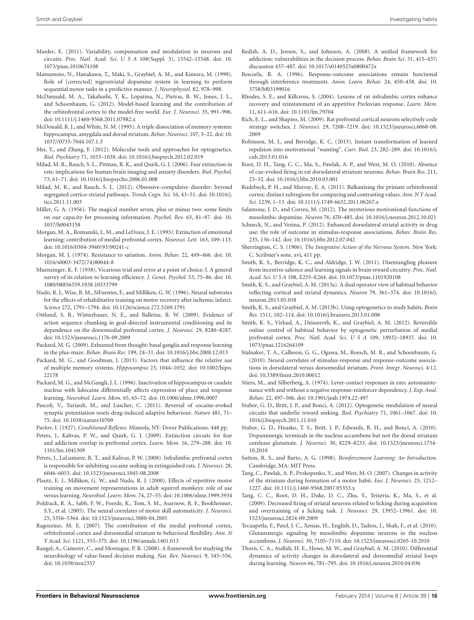- <span id="page-16-1"></span>Marder, E. (2011). Variability, compensation and modulation in neurons and circuits. *Proc. Natl. Acad. Sci. U S A* 108(Suppl. 3), 15542–15548. doi: 10. 1073/pnas.1010674108
- <span id="page-16-30"></span>Matsumoto, N., Hanakawa, T., Maki, S., Graybiel, A. M., and Kimura, M. (1999). Role of [corrected] nigrostriatal dopamine system in learning to perform sequential motor tasks in a predictive manner. *J. Neurophysiol.* 82, 978–998.
- <span id="page-16-13"></span>McDannald, M. A., Takahashi, Y. K., Lopatina, N., Pietras, B. W., Jones, J. L., and Schoenbaum, G. (2012). Model-based learning and the contribution of the orbitofrontal cortex to the model-free world. *Eur. J. Neurosci.* 35, 991–996. doi: 10.1111/j.1460-9568.2011.07982.x
- <span id="page-16-12"></span>McDonald, R. J., and White, N. M. (1993). A triple dissociation of memory systems: hippocampus, amygdala and dorsal striatum. *Behav. Neurosci.* 107, 3–22. doi: 10. 1037//0735-7044.107.1.3
- <span id="page-16-34"></span>Mei, Y., and Zhang, F. (2012). Molecular tools and approaches for optogenetics. *Biol. Psychiatry* 71, 1033–1038. doi: 10.1016/j.biopsych.2012.02.019
- <span id="page-16-43"></span>Milad, M. R., Rauch, S. L., Pitman, R. K., and Quirk, G. J. (2006). Fear extinction in rats: implications for human brain imaging and anxiety disorders. *Biol. Psychol.* 73, 61–71. doi: 10.1016/j.biopsycho.2006.01.008
- <span id="page-16-46"></span>Milad, M. R., and Rauch, S. L. (2012). Obsessive-compulsive disorder: beyond segregated cortico-striatal pathways. *Trends Cogn. Sci.* 16, 43–51. doi: 10.1016/j. tics.2011.11.003
- <span id="page-16-17"></span>Miller, G. A. (1956). The magical number seven, plus or minus two: some limits on our capacity for processing information. *Psychol. Rev.* 63, 81–97. doi: 10. 1037/h0043158
- <span id="page-16-35"></span>Morgan, M. A., Romanski, L. M., and LeDoux, J. E. (1993). Extinction of emotional learning: contribution of medial prefrontal cortex. *Neurosci. Lett.* 163, 109–113. doi: 10.1016/0304-3940(93)90241-c
- <span id="page-16-28"></span>Morgan, M. J. (1974). Resistance to satiation. *Anim. Behav.* 22, 449–466. doi: 10. 1016/s0003-3472(74)80044-8
- <span id="page-16-22"></span>Muenzinger, K. F. (1938). Vicarious trial and error at a point of choice: I. A general survey of its relation to learning efficiency. *J. Genet. Psychol.* 53, 75–86. doi: 10. 1080/08856559.1938.10533799
- <span id="page-16-15"></span>Nudo, R. J., Wise, B. M., SiFuentes, F., and Milliken, G. W. (1996). Neural substrates for the effects of rehabilitative training on motor recovery after ischemic infarct. *Science* 272, 1791–1794. doi: 10.1126/science.272.5269.1791
- <span id="page-16-29"></span>Ostlund, S. B., Winterbauer, N. E., and Balleine, B. W. (2009). Evidence of action sequence chunking in goal-directed instrumental conditioning and its dependence on the dorsomedial prefrontal cortex. *J. Neurosci.* 29, 8280–8287. doi: 10.1523/jneurosci.1176-09.2009
- <span id="page-16-4"></span>Packard, M. G. (2009). Exhumed from thought: basal ganglia and response learning in the plus-maze. *Behav. Brain Res.* 199, 24–31. doi: 10.1016/j.bbr.2008.12.013
- <span id="page-16-5"></span>Packard, M. G., and Goodman, J. (2013). Factors that influence the relative use of multiple memory systems. *Hippocampus* 23, 1044–1052. doi: 10.1002/hipo. 22178
- <span id="page-16-11"></span>Packard, M. G., and McGaugh, J. L. (1996). Inactivation of hippocampus or caudate nucleus with lidocaine differentially affects expression of place and response learning. *Neurobiol. Learn. Mem.* 65, 65–72. doi: 10.1006/nlme.1996.0007
- <span id="page-16-45"></span>Pascoli, V., Turiault, M., and Luscher, C. (2011). Reversal of cocaine-evoked synaptic potentiation resets drug-induced adaptive behaviour. *Nature* 481, 71– 75. doi: 10.1038/nature10709
- <span id="page-16-18"></span>Pavlov, I. (1927). *Conditioned Reflexes.* Mineola, NY: Dover Publications. 448 pp.
- <span id="page-16-37"></span>Peters, J., Kalivas, P. W., and Quirk, G. J. (2009). Extinction circuits for fear and addiction overlap in prefrontal cortex. *Learn. Mem.* 16, 279–288. doi: 10. 1101/lm.1041309
- <span id="page-16-39"></span>Peters, J., LaLumiere, R. T., and Kalivas, P. W. (2008). Infralimbic prefrontal cortex is responsible for inhibiting cocaine seeking in extinguished rats. *J. Neurosci.* 28, 6046–6053. doi: 10.1523/jneurosci.1045-08.2008
- <span id="page-16-16"></span>Plautz, E. J., Milliken, G. W., and Nudo, R. J. (2000). Effects of repetitive motor training on movement representations in adult squirrel monkeys: role of use versus learning. *Neurobiol. Learn. Mem.* 74, 27–55. doi: 10.1006/nlme.1999.3934
- <span id="page-16-14"></span>Poldrack, R. A., Sabb, F. W., Foerde, K., Tom, S. M., Asarnow, R. F., Bookheimer, S.Y., et al. (2005). The neural correlates of motor skill automaticity. *J. Neurosci.* 25, 5356–5364. doi: 10.1523/jneurosci.3880-04.2005
- <span id="page-16-20"></span>Ragozzino, M. E. (2007). The contribution of the medial prefrontal cortex, orbitofrontal cortex and dorsomedial striatum to behavioral flexibility. *Ann. N Y Acad. Sci.* 1121, 355–375. doi: 10.1196/annals.1401.013
- <span id="page-16-32"></span>Rangel, A., Camerer, C., and Montague, P. R. (2008). A framework for studying the neurobiology of value-based decision making. *Nat. Rev. Neurosci.* 9, 545–556. doi: 10.1038/nrn2357
- <span id="page-16-3"></span>Redish, A. D., Jensen, S., and Johnson, A. (2008). A unified framework for addiction: vulnerabilities in the decision process. *Behav. Brain Sci.* 31, 415–437; discussion 437–487. doi: 10.1017/s0140525x0800472x
- <span id="page-16-19"></span>Rescorla, R. A. (1996). Response-outcome associations remain functional through interference treatments. *Anim. Learn. Behav.* 24, 450–458. doi: 10. 3758/bf03199016
- <span id="page-16-36"></span>Rhodes, S. E., and Killcross, S. (2004). Lesions of rat infralimbic cortex enhance recovery and reinstatement of an appetitive Pavlovian response. *Learn. Mem.* 11, 611–616. doi: 10.1101/lm.79704
- <span id="page-16-38"></span>Rich, E. L., and Shapiro, M. (2009). Rat prefrontal cortical neurons selectively code strategy switches. *J. Neurosci.* 29, 7208–7219. doi: 10.1523/jneurosci.6068-08. 2009
- <span id="page-16-44"></span>Robinson, M. J., and Berridge, K. C. (2013). Instant transformation of learned repulsion into motivational "wanting". *Curr. Biol.* 23, 282–289. doi: 10.1016/j. cub.2013.01.016
- <span id="page-16-25"></span>Root, D. H., Tang, C. C., Ma, S., Pawlak, A. P., and West, M. O. (2010). Absence of cue-evoked firing in rat dorsolateral striatum neurons. *Behav. Brain Res.* 211, 23–32. doi: 10.1016/j.bbr.2010.03.001
- <span id="page-16-31"></span>Rudebeck, P. H., and Murray, E. A. (2011). Balkanizing the primate orbitofrontal cortex: distinct subregions for comparing and contrasting values. *Ann. N Y Acad. Sci.* 1239, 1–13. doi: 10.1111/j.1749-6632.2011.06267.x
- <span id="page-16-2"></span>Salamone, J. D., and Correa, M. (2012). The mysterious motivational functions of mesolimbic dopamine. *Neuron* 76, 470–485. doi: 10.1016/j.neuron.2012.10.021
- <span id="page-16-23"></span>Schneck, N., and Vezina, P. (2012). Enhanced dorsolateral striatal activity in drug use: the role of outcome in stimulus-response associations. *Behav. Brain Res.* 235, 136–142. doi: 10.1016/j.bbr.2012.07.042
- <span id="page-16-0"></span>Sherrington, C. S. (1906). *The Integrative Action of the Nervous System.* New York: C. Scribner's sons. xvi, 411 pp.
- <span id="page-16-27"></span>Smith, K. S., Berridge, K. C., and Aldridge, J. W. (2011). Disentangling pleasure from incentive salience and learning signals in brain reward circuitry. *Proc. Natl. Acad. Sci. U S A* 108, E255–E264. doi: 10.1073/pnas.1101920108
- <span id="page-16-8"></span>Smith, K. S., and Graybiel, A. M. (2013a). A dual operator view of habitual behavior reflecting cortical and striatal dynamics. *Neuron* 79, 361–374. doi: 10.1016/j. neuron.2013.05.038
- <span id="page-16-33"></span>Smith, K. S., and Graybiel, A. M. (2013b). Using optogenetics to study habits. *Brain Res.* 1511, 102–114. doi: 10.1016/j.brainres.2013.01.008
- <span id="page-16-7"></span>Smith, K. S., Virkud, A., Deisseroth, K., and Graybiel, A. M. (2012). Reversible online control of habitual behavior by optogenetic perturbation of medial prefrontal cortex. *Proc. Natl. Acad. Sci. U S A* 109, 18932–18937. doi: 10. 1073/pnas.1216264109
- <span id="page-16-21"></span>Stalnaker, T. A., Calhoon, G. G., Ogawa, M., Roesch, M. R., and Schoenbaum, G. (2010). Neural correlates of stimulus-response and response-outcome associations in dorsolateral versus dorsomedial striatum. *Front. Integr. Neurosci.* 4:12. doi: 10.3389/fnint.2010.00012
- <span id="page-16-6"></span>Stiers, M., and Silberberg, A. (1974). Lever-contact responses in rats: automaintenance with and without a negative response-reinforcer dependency. *J. Exp. Anal. Behav.* 22, 497–506. doi: 10.1901/jeab.1974.22-497
- <span id="page-16-40"></span>Stuber, G. D., Britt, J. P., and Bonci, A. (2012). Optogenetic modulation of neural circuits that underlie reward seeking. *Biol. Psychiatry* 71, 1061–1067. doi: 10. 1016/j.biopsych.2011.11.010
- <span id="page-16-41"></span>Stuber, G. D., Hnasko, T. S., Britt, J. P., Edwards, R. H., and Bonci, A. (2010). Dopaminergic terminals in the nucleus accumbens but not the dorsal striatum corelease glutamate. *J. Neurosci.* 30, 8229–8233. doi: 10.1523/jneurosci.1754- 10.2010
- <span id="page-16-26"></span>Sutton, R. S., and Barto, A. G. (1998). *Reinforcement Learning: An Introduction.* Cambridge, MA: MIT Press.
- <span id="page-16-9"></span>Tang, C., Pawlak, A. P., Prokopenko, V., and West, M. O. (2007). Changes in activity of the striatum during formation of a motor habit. *Eur. J. Neurosci.* 25, 1212– 1227. doi: 10.1111/j.1460-9568.2007.05353.x
- <span id="page-16-24"></span>Tang, C. C., Root, D. H., Duke, D. C., Zhu, Y., Teixeria, K., Ma, S., et al. (2009). Decreased firing of striatal neurons related to licking during acquisition and overtraining of a licking task. *J. Neurosci.* 29, 13952–13961. doi: 10. 1523/jneurosci.2824-09.2009
- <span id="page-16-42"></span>Tecuapetla, F., Patel, J. C., Xenias, H., English, D., Tadros, I., Shah, F., et al. (2010). Glutamatergic signaling by mesolimbic dopamine neurons in the nucleus accumbens. *J. Neurosci.* 30, 7105–7110. doi: 10.1523/jneurosci.0265-10.2010
- <span id="page-16-10"></span>Thorn, C. A., Atallah, H. E., Howe, M. W., and Graybiel, A. M. (2010). Differential dynamics of activity changes in dorsolateral and dorsomedial striatal loops during learning. *Neuron* 66, 781–795. doi: 10.1016/j.neuron.2010.04.036